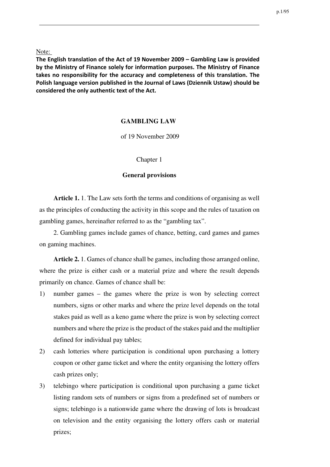Note:

**The English translation of the Act of 19 November 2009 – Gambling Law is provided by the Ministry of Finance solely for information purposes. The Ministry of Finance takes no responsibility for the accuracy and completeness of this translation. The Polish language version published in the Journal of Laws (Dziennik Ustaw) should be considered the only authentic text of the Act.**

## **GAMBLING LAW**

of 19 November 2009

Chapter 1

## **General provisions**

**Article 1.** 1. The Law sets forth the terms and conditions of organising as well as the principles of conducting the activity in this scope and the rules of taxation on gambling games, hereinafter referred to as the "gambling tax".

2. Gambling games include games of chance, betting, card games and games on gaming machines.

**Article 2.** 1. Games of chance shall be games, including those arranged online, where the prize is either cash or a material prize and where the result depends primarily on chance. Games of chance shall be:

- 1) number games the games where the prize is won by selecting correct numbers, signs or other marks and where the prize level depends on the total stakes paid as well as a keno game where the prize is won by selecting correct numbers and where the prize is the product of the stakes paid and the multiplier defined for individual pay tables;
- 2) cash lotteries where participation is conditional upon purchasing a lottery coupon or other game ticket and where the entity organising the lottery offers cash prizes only;
- 3) telebingo where participation is conditional upon purchasing a game ticket listing random sets of numbers or signs from a predefined set of numbers or signs; telebingo is a nationwide game where the drawing of lots is broadcast on television and the entity organising the lottery offers cash or material prizes;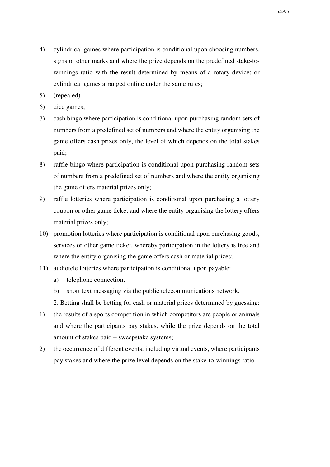- 4) cylindrical games where participation is conditional upon choosing numbers, signs or other marks and where the prize depends on the predefined stake-towinnings ratio with the result determined by means of a rotary device; or cylindrical games arranged online under the same rules;
- 5) (repealed)
- 6) dice games;
- 7) cash bingo where participation is conditional upon purchasing random sets of numbers from a predefined set of numbers and where the entity organising the game offers cash prizes only, the level of which depends on the total stakes paid;
- 8) raffle bingo where participation is conditional upon purchasing random sets of numbers from a predefined set of numbers and where the entity organising the game offers material prizes only;
- 9) raffle lotteries where participation is conditional upon purchasing a lottery coupon or other game ticket and where the entity organising the lottery offers material prizes only;
- 10) promotion lotteries where participation is conditional upon purchasing goods, services or other game ticket, whereby participation in the lottery is free and where the entity organising the game offers cash or material prizes;
- 11) audiotele lotteries where participation is conditional upon payable:
	- a) telephone connection,
	- b) short text messaging via the public telecommunications network.
	- 2. Betting shall be betting for cash or material prizes determined by guessing:
- 1) the results of a sports competition in which competitors are people or animals and where the participants pay stakes, while the prize depends on the total amount of stakes paid – sweepstake systems;
- 2) the occurrence of different events, including virtual events, where participants pay stakes and where the prize level depends on the stake-to-winnings ratio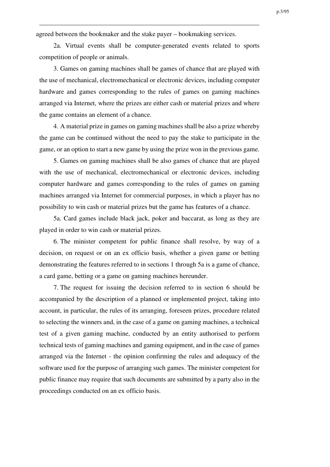agreed between the bookmaker and the stake payer – bookmaking services.

2a. Virtual events shall be computer-generated events related to sports competition of people or animals.

3. Games on gaming machines shall be games of chance that are played with the use of mechanical, electromechanical or electronic devices, including computer hardware and games corresponding to the rules of games on gaming machines arranged via Internet, where the prizes are either cash or material prizes and where the game contains an element of a chance.

4. A material prize in games on gaming machines shall be also a prize whereby the game can be continued without the need to pay the stake to participate in the game, or an option to start a new game by using the prize won in the previous game.

5. Games on gaming machines shall be also games of chance that are played with the use of mechanical, electromechanical or electronic devices, including computer hardware and games corresponding to the rules of games on gaming machines arranged via Internet for commercial purposes, in which a player has no possibility to win cash or material prizes but the game has features of a chance.

5a. Card games include black jack, poker and baccarat, as long as they are played in order to win cash or material prizes.

6. The minister competent for public finance shall resolve, by way of a decision, on request or on an ex officio basis, whether a given game or betting demonstrating the features referred to in sections 1 through 5a is a game of chance, a card game, betting or a game on gaming machines hereunder.

7. The request for issuing the decision referred to in section 6 should be accompanied by the description of a planned or implemented project, taking into account, in particular, the rules of its arranging, foreseen prizes, procedure related to selecting the winners and, in the case of a game on gaming machines, a technical test of a given gaming machine, conducted by an entity authorised to perform technical tests of gaming machines and gaming equipment, and in the case of games arranged via the Internet - the opinion confirming the rules and adequacy of the software used for the purpose of arranging such games. The minister competent for public finance may require that such documents are submitted by a party also in the proceedings conducted on an ex officio basis.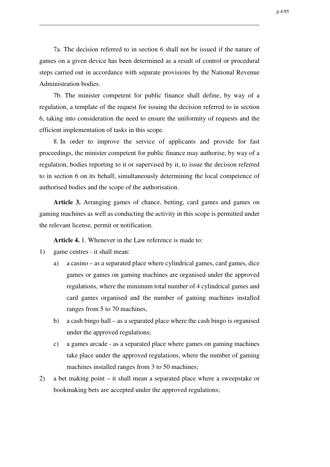7a. The decision referred to in section 6 shall not be issued if the nature of games on a given device has been determined as a result of control or procedural steps carried out in accordance with separate provisions by the National Revenue Administration bodies.

7b. The minister competent for public finance shall define, by way of a regulation, a template of the request for issuing the decision referred to in section 6, taking into consideration the need to ensure the uniformity of requests and the efficient implementation of tasks in this scope.

8. In order to improve the service of applicants and provide for fast proceedings, the minister competent for public finance may authorise, by way of a regulation, bodies reporting to it or supervised by it, to issue the decision referred to in section 6 on its behalf, simultaneously determining the local competence of authorised bodies and the scope of the authorisation.

**Article 3.** Arranging games of chance, betting, card games and games on gaming machines as well as conducting the activity in this scope is permitted under the relevant license, permit or notification.

**Article 4.** 1. Whenever in the Law reference is made to:

- 1) game centres it shall mean:
	- a) a casino as a separated place where cylindrical games, card games, dice games or games on gaming machines are organised under the approved regulations, where the minimum total number of 4 cylindrical games and card games organised and the number of gaming machines installed ranges from 5 to 70 machines,
	- b) a cash bingo hall as a separated place where the cash bingo is organised under the approved regulations;
	- c) a games arcade as a separated place where games on gaming machines take place under the approved regulations, where the number of gaming machines installed ranges from 3 to 50 machines;
- 2) a bet making point it shall mean a separated place where a sweepstake or bookmaking bets are accepted under the approved regulations;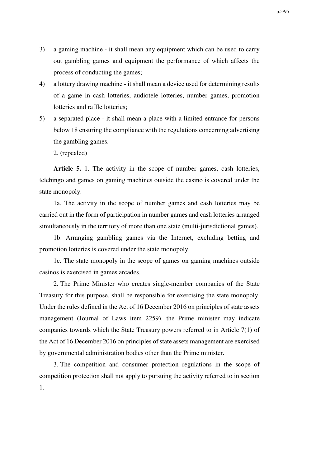- 3) a gaming machine it shall mean any equipment which can be used to carry out gambling games and equipment the performance of which affects the process of conducting the games;
- 4) a lottery drawing machine it shall mean a device used for determining results of a game in cash lotteries, audiotele lotteries, number games, promotion lotteries and raffle lotteries;
- 5) a separated place it shall mean a place with a limited entrance for persons below 18 ensuring the compliance with the regulations concerning advertising the gambling games.

2. (repealed)

**Article 5.** 1. The activity in the scope of number games, cash lotteries, telebingo and games on gaming machines outside the casino is covered under the state monopoly.

1a. The activity in the scope of number games and cash lotteries may be carried out in the form of participation in number games and cash lotteries arranged simultaneously in the territory of more than one state (multi-jurisdictional games).

1b. Arranging gambling games via the Internet, excluding betting and promotion lotteries is covered under the state monopoly.

1c. The state monopoly in the scope of games on gaming machines outside casinos is exercised in games arcades.

2. The Prime Minister who creates single-member companies of the State Treasury for this purpose, shall be responsible for exercising the state monopoly. Under the rules defined in the Act of 16 December 2016 on principles of state assets management (Journal of Laws item 2259), the Prime minister may indicate companies towards which the State Treasury powers referred to in Article 7(1) of the Act of 16 December 2016 on principles of state assets management are exercised by governmental administration bodies other than the Prime minister.

3. The competition and consumer protection regulations in the scope of competition protection shall not apply to pursuing the activity referred to in section 1.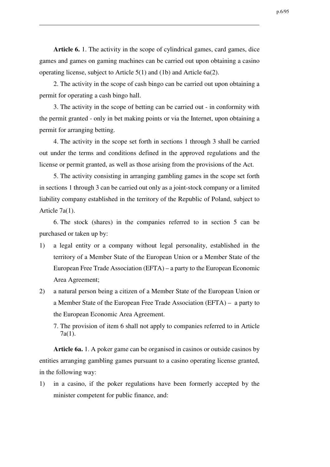**Article 6.** 1. The activity in the scope of cylindrical games, card games, dice games and games on gaming machines can be carried out upon obtaining a casino operating license, subject to Article 5(1) and (1b) and Article 6a(2).

2. The activity in the scope of cash bingo can be carried out upon obtaining a permit for operating a cash bingo hall.

3. The activity in the scope of betting can be carried out - in conformity with the permit granted - only in bet making points or via the Internet, upon obtaining a permit for arranging betting.

4. The activity in the scope set forth in sections 1 through 3 shall be carried out under the terms and conditions defined in the approved regulations and the license or permit granted, as well as those arising from the provisions of the Act.

5. The activity consisting in arranging gambling games in the scope set forth in sections 1 through 3 can be carried out only as a joint-stock company or a limited liability company established in the territory of the Republic of Poland, subject to Article 7a(1).

6. The stock (shares) in the companies referred to in section 5 can be purchased or taken up by:

- 1) a legal entity or a company without legal personality, established in the territory of a Member State of the European Union or a Member State of the European Free Trade Association (EFTA) – a party to the European Economic Area Agreement;
- 2) a natural person being a citizen of a Member State of the European Union or a Member State of the European Free Trade Association (EFTA) – a party to the European Economic Area Agreement.
	- 7. The provision of item 6 shall not apply to companies referred to in Article 7a(1).

**Article 6a.** 1. A poker game can be organised in casinos or outside casinos by entities arranging gambling games pursuant to a casino operating license granted, in the following way:

1) in a casino, if the poker regulations have been formerly accepted by the minister competent for public finance, and: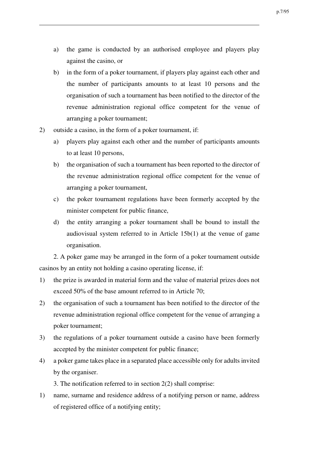- a) the game is conducted by an authorised employee and players play against the casino, or
- b) in the form of a poker tournament, if players play against each other and the number of participants amounts to at least 10 persons and the organisation of such a tournament has been notified to the director of the revenue administration regional office competent for the venue of arranging a poker tournament;
- 2) outside a casino, in the form of a poker tournament, if:
	- a) players play against each other and the number of participants amounts to at least 10 persons,
	- b) the organisation of such a tournament has been reported to the director of the revenue administration regional office competent for the venue of arranging a poker tournament,
	- c) the poker tournament regulations have been formerly accepted by the minister competent for public finance,
	- d) the entity arranging a poker tournament shall be bound to install the audiovisual system referred to in Article 15b(1) at the venue of game organisation.

2. A poker game may be arranged in the form of a poker tournament outside casinos by an entity not holding a casino operating license, if:

- 1) the prize is awarded in material form and the value of material prizes does not exceed 50% of the base amount referred to in Article 70;
- 2) the organisation of such a tournament has been notified to the director of the revenue administration regional office competent for the venue of arranging a poker tournament;
- 3) the regulations of a poker tournament outside a casino have been formerly accepted by the minister competent for public finance;
- 4) a poker game takes place in a separated place accessible only for adults invited by the organiser.

3. The notification referred to in section 2(2) shall comprise:

1) name, surname and residence address of a notifying person or name, address of registered office of a notifying entity;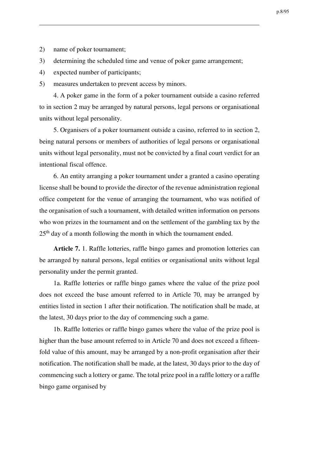- 2) name of poker tournament;
- 3) determining the scheduled time and venue of poker game arrangement;
- 4) expected number of participants;
- 5) measures undertaken to prevent access by minors.

4. A poker game in the form of a poker tournament outside a casino referred to in section 2 may be arranged by natural persons, legal persons or organisational units without legal personality.

5. Organisers of a poker tournament outside a casino, referred to in section 2, being natural persons or members of authorities of legal persons or organisational units without legal personality, must not be convicted by a final court verdict for an intentional fiscal offence.

6. An entity arranging a poker tournament under a granted a casino operating license shall be bound to provide the director of the revenue administration regional office competent for the venue of arranging the tournament, who was notified of the organisation of such a tournament, with detailed written information on persons who won prizes in the tournament and on the settlement of the gambling tax by the 25<sup>th</sup> day of a month following the month in which the tournament ended.

**Article 7.** 1. Raffle lotteries, raffle bingo games and promotion lotteries can be arranged by natural persons, legal entities or organisational units without legal personality under the permit granted.

1a. Raffle lotteries or raffle bingo games where the value of the prize pool does not exceed the base amount referred to in Article 70, may be arranged by entities listed in section 1 after their notification. The notification shall be made, at the latest, 30 days prior to the day of commencing such a game.

1b. Raffle lotteries or raffle bingo games where the value of the prize pool is higher than the base amount referred to in Article 70 and does not exceed a fifteenfold value of this amount, may be arranged by a non-profit organisation after their notification. The notification shall be made, at the latest, 30 days prior to the day of commencing such a lottery or game. The total prize pool in a raffle lottery or a raffle bingo game organised by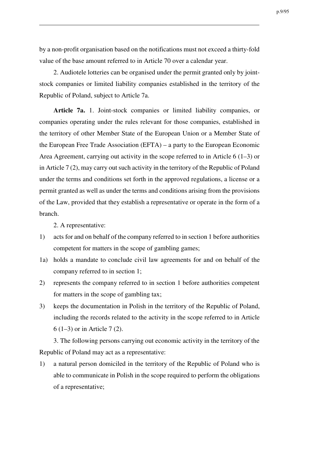by a non-profit organisation based on the notifications must not exceed a thirty-fold value of the base amount referred to in Article 70 over a calendar year.

2. Audiotele lotteries can be organised under the permit granted only by jointstock companies or limited liability companies established in the territory of the Republic of Poland, subject to Article 7a.

**Article 7a.** 1. Joint-stock companies or limited liability companies, or companies operating under the rules relevant for those companies, established in the territory of other Member State of the European Union or a Member State of the European Free Trade Association (EFTA) – a party to the European Economic Area Agreement, carrying out activity in the scope referred to in Article 6 (1–3) or in Article 7 (2), may carry out such activity in the territory of the Republic of Poland under the terms and conditions set forth in the approved regulations, a license or a permit granted as well as under the terms and conditions arising from the provisions of the Law, provided that they establish a representative or operate in the form of a branch.

2. A representative:

- 1) acts for and on behalf of the company referred to in section 1 before authorities competent for matters in the scope of gambling games;
- 1a) holds a mandate to conclude civil law agreements for and on behalf of the company referred to in section 1;
- 2) represents the company referred to in section 1 before authorities competent for matters in the scope of gambling tax;
- 3) keeps the documentation in Polish in the territory of the Republic of Poland, including the records related to the activity in the scope referred to in Article 6 (1–3) or in Article 7 (2).

3. The following persons carrying out economic activity in the territory of the Republic of Poland may act as a representative:

1) a natural person domiciled in the territory of the Republic of Poland who is able to communicate in Polish in the scope required to perform the obligations of a representative;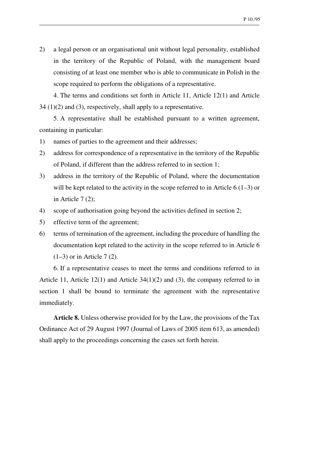2) a legal person or an organisational unit without legal personality, established in the territory of the Republic of Poland, with the management board consisting of at least one member who is able to communicate in Polish in the scope required to perform the obligations of a representative.

4. The terms and conditions set forth in Article 11, Article 12(1) and Article 34 (1)(2) and (3), respectively, shall apply to a representative.

5. A representative shall be established pursuant to a written agreement, containing in particular:

- 1) names of parties to the agreement and their addresses;
- 2) address for correspondence of a representative in the territory of the Republic of Poland, if different than the address referred to in section 1;
- 3) address in the territory of the Republic of Poland, where the documentation will be kept related to the activity in the scope referred to in Article 6 (1–3) or in Article  $7(2)$ ;
- 4) scope of authorisation going beyond the activities defined in section 2;
- 5) effective term of the agreement;
- 6) terms of termination of the agreement, including the procedure of handling the documentation kept related to the activity in the scope referred to in Article 6 (1–3) or in Article 7 (2).

6. If a representative ceases to meet the terms and conditions referred to in Article 11, Article 12(1) and Article  $34(1)(2)$  and (3), the company referred to in section 1 shall be bound to terminate the agreement with the representative immediately.

**Article 8.** Unless otherwise provided for by the Law, the provisions of the Tax Ordinance Act of 29 August 1997 (Journal of Laws of 2005 item 613, as amended) shall apply to the proceedings concerning the cases set forth herein.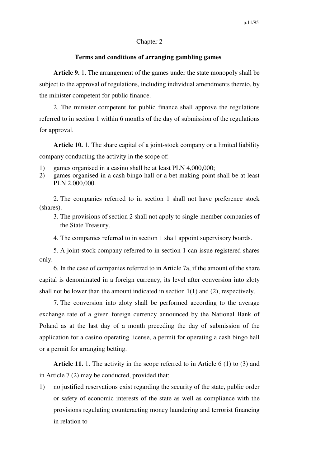## Chapter 2

## **Terms and conditions of arranging gambling games**

**Article 9.** 1. The arrangement of the games under the state monopoly shall be subject to the approval of regulations, including individual amendments thereto, by the minister competent for public finance.

2. The minister competent for public finance shall approve the regulations referred to in section 1 within 6 months of the day of submission of the regulations for approval.

**Article 10.** 1. The share capital of a joint-stock company or a limited liability company conducting the activity in the scope of:

- 1) games organised in a casino shall be at least PLN 4,000,000;
- 2) games organised in a cash bingo hall or a bet making point shall be at least PLN 2,000,000.

2. The companies referred to in section 1 shall not have preference stock (shares).

- 3. The provisions of section 2 shall not apply to single-member companies of the State Treasury.
- 4. The companies referred to in section 1 shall appoint supervisory boards.

5. A joint-stock company referred to in section 1 can issue registered shares only.

6. In the case of companies referred to in Article 7a, if the amount of the share capital is denominated in a foreign currency, its level after conversion into zloty shall not be lower than the amount indicated in section 1(1) and (2), respectively.

7. The conversion into zloty shall be performed according to the average exchange rate of a given foreign currency announced by the National Bank of Poland as at the last day of a month preceding the day of submission of the application for a casino operating license, a permit for operating a cash bingo hall or a permit for arranging betting.

**Article 11.** 1. The activity in the scope referred to in Article 6 (1) to (3) and in Article 7 (2) may be conducted, provided that:

1) no justified reservations exist regarding the security of the state, public order or safety of economic interests of the state as well as compliance with the provisions regulating counteracting money laundering and terrorist financing in relation to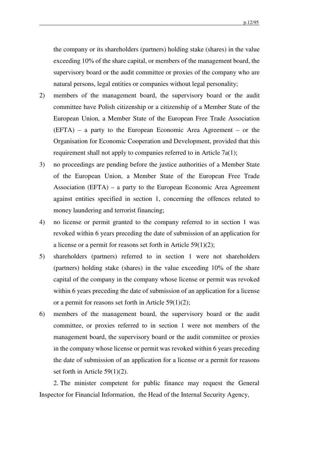the company or its shareholders (partners) holding stake (shares) in the value exceeding 10% of the share capital, or members of the management board, the supervisory board or the audit committee or proxies of the company who are natural persons, legal entities or companies without legal personality;

- 2) members of the management board, the supervisory board or the audit committee have Polish citizenship or a citizenship of a Member State of the European Union, a Member State of the European Free Trade Association (EFTA) – a party to the European Economic Area Agreement – or the Organisation for Economic Cooperation and Development, provided that this requirement shall not apply to companies referred to in Article 7a(1);
- 3) no proceedings are pending before the justice authorities of a Member State of the European Union, a Member State of the European Free Trade Association (EFTA) – a party to the European Economic Area Agreement against entities specified in section 1, concerning the offences related to money laundering and terrorist financing;
- 4) no license or permit granted to the company referred to in section 1 was revoked within 6 years preceding the date of submission of an application for a license or a permit for reasons set forth in Article 59(1)(2);
- 5) shareholders (partners) referred to in section 1 were not shareholders (partners) holding stake (shares) in the value exceeding 10% of the share capital of the company in the company whose license or permit was revoked within 6 years preceding the date of submission of an application for a license or a permit for reasons set forth in Article 59(1)(2);
- 6) members of the management board, the supervisory board or the audit committee, or proxies referred to in section 1 were not members of the management board, the supervisory board or the audit committee or proxies in the company whose license or permit was revoked within 6 years preceding the date of submission of an application for a license or a permit for reasons set forth in Article 59(1)(2).

2. The minister competent for public finance may request the General Inspector for Financial Information, the Head of the Internal Security Agency,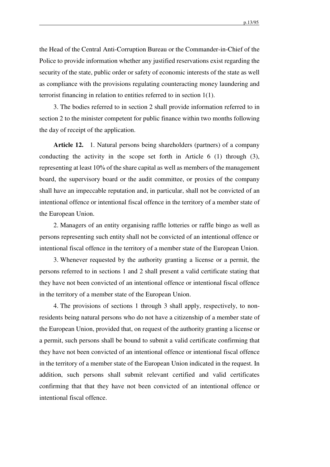the Head of the Central Anti-Corruption Bureau or the Commander-in-Chief of the Police to provide information whether any justified reservations exist regarding the security of the state, public order or safety of economic interests of the state as well as compliance with the provisions regulating counteracting money laundering and terrorist financing in relation to entities referred to in section 1(1).

3. The bodies referred to in section 2 shall provide information referred to in section 2 to the minister competent for public finance within two months following the day of receipt of the application.

**Article 12.** 1. Natural persons being shareholders (partners) of a company conducting the activity in the scope set forth in Article 6 (1) through (3), representing at least 10% of the share capital as well as members of the management board, the supervisory board or the audit committee, or proxies of the company shall have an impeccable reputation and, in particular, shall not be convicted of an intentional offence or intentional fiscal offence in the territory of a member state of the European Union.

2. Managers of an entity organising raffle lotteries or raffle bingo as well as persons representing such entity shall not be convicted of an intentional offence or intentional fiscal offence in the territory of a member state of the European Union.

3. Whenever requested by the authority granting a license or a permit, the persons referred to in sections 1 and 2 shall present a valid certificate stating that they have not been convicted of an intentional offence or intentional fiscal offence in the territory of a member state of the European Union.

4. The provisions of sections 1 through 3 shall apply, respectively, to nonresidents being natural persons who do not have a citizenship of a member state of the European Union, provided that, on request of the authority granting a license or a permit, such persons shall be bound to submit a valid certificate confirming that they have not been convicted of an intentional offence or intentional fiscal offence in the territory of a member state of the European Union indicated in the request. In addition, such persons shall submit relevant certified and valid certificates confirming that that they have not been convicted of an intentional offence or intentional fiscal offence.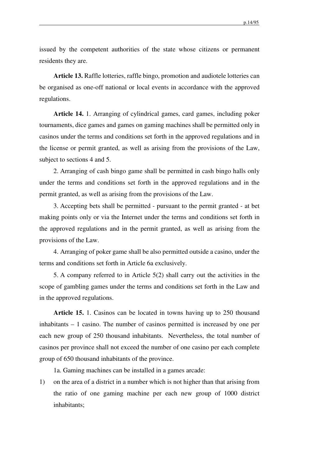issued by the competent authorities of the state whose citizens or permanent residents they are.

**Article 13.** Raffle lotteries, raffle bingo, promotion and audiotele lotteries can be organised as one-off national or local events in accordance with the approved regulations.

**Article 14.** 1. Arranging of cylindrical games, card games, including poker tournaments, dice games and games on gaming machines shall be permitted only in casinos under the terms and conditions set forth in the approved regulations and in the license or permit granted, as well as arising from the provisions of the Law, subject to sections 4 and 5.

2. Arranging of cash bingo game shall be permitted in cash bingo halls only under the terms and conditions set forth in the approved regulations and in the permit granted, as well as arising from the provisions of the Law.

3. Accepting bets shall be permitted - pursuant to the permit granted - at bet making points only or via the Internet under the terms and conditions set forth in the approved regulations and in the permit granted, as well as arising from the provisions of the Law.

4. Arranging of poker game shall be also permitted outside a casino, under the terms and conditions set forth in Article 6a exclusively.

5. A company referred to in Article 5(2) shall carry out the activities in the scope of gambling games under the terms and conditions set forth in the Law and in the approved regulations.

**Article 15.** 1. Casinos can be located in towns having up to 250 thousand inhabitants – 1 casino. The number of casinos permitted is increased by one per each new group of 250 thousand inhabitants. Nevertheless, the total number of casinos per province shall not exceed the number of one casino per each complete group of 650 thousand inhabitants of the province.

1a. Gaming machines can be installed in a games arcade:

1) on the area of a district in a number which is not higher than that arising from the ratio of one gaming machine per each new group of 1000 district inhabitants;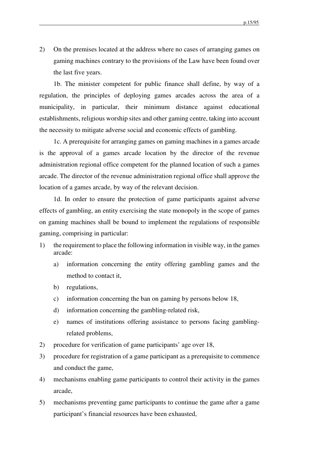2) On the premises located at the address where no cases of arranging games on gaming machines contrary to the provisions of the Law have been found over the last five years.

1b. The minister competent for public finance shall define, by way of a regulation, the principles of deploying games arcades across the area of a municipality, in particular, their minimum distance against educational establishments, religious worship sites and other gaming centre, taking into account the necessity to mitigate adverse social and economic effects of gambling.

1c. A prerequisite for arranging games on gaming machines in a games arcade is the approval of a games arcade location by the director of the revenue administration regional office competent for the planned location of such a games arcade. The director of the revenue administration regional office shall approve the location of a games arcade, by way of the relevant decision.

1d. In order to ensure the protection of game participants against adverse effects of gambling, an entity exercising the state monopoly in the scope of games on gaming machines shall be bound to implement the regulations of responsible gaming, comprising in particular:

- 1) the requirement to place the following information in visible way, in the games arcade:
	- a) information concerning the entity offering gambling games and the method to contact it,
	- b) regulations,
	- c) information concerning the ban on gaming by persons below 18,
	- d) information concerning the gambling-related risk,
	- e) names of institutions offering assistance to persons facing gamblingrelated problems,
- 2) procedure for verification of game participants' age over 18,
- 3) procedure for registration of a game participant as a prerequisite to commence and conduct the game,
- 4) mechanisms enabling game participants to control their activity in the games arcade,
- 5) mechanisms preventing game participants to continue the game after a game participant's financial resources have been exhausted,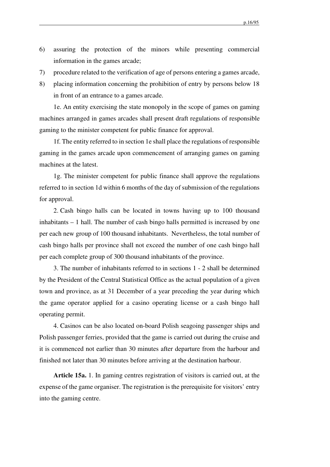- 6) assuring the protection of the minors while presenting commercial information in the games arcade;
- 7) procedure related to the verification of age of persons entering a games arcade,
- 8) placing information concerning the prohibition of entry by persons below 18 in front of an entrance to a games arcade.

1e. An entity exercising the state monopoly in the scope of games on gaming machines arranged in games arcades shall present draft regulations of responsible gaming to the minister competent for public finance for approval.

1f. The entity referred to in section 1e shall place the regulations of responsible gaming in the games arcade upon commencement of arranging games on gaming machines at the latest.

1g. The minister competent for public finance shall approve the regulations referred to in section 1d within 6 months of the day of submission of the regulations for approval.

2. Cash bingo halls can be located in towns having up to 100 thousand inhabitants – 1 hall. The number of cash bingo halls permitted is increased by one per each new group of 100 thousand inhabitants. Nevertheless, the total number of cash bingo halls per province shall not exceed the number of one cash bingo hall per each complete group of 300 thousand inhabitants of the province.

3. The number of inhabitants referred to in sections 1 - 2 shall be determined by the President of the Central Statistical Office as the actual population of a given town and province, as at 31 December of a year preceding the year during which the game operator applied for a casino operating license or a cash bingo hall operating permit.

4. Casinos can be also located on-board Polish seagoing passenger ships and Polish passenger ferries, provided that the game is carried out during the cruise and it is commenced not earlier than 30 minutes after departure from the harbour and finished not later than 30 minutes before arriving at the destination harbour.

**Article 15a.** 1. In gaming centres registration of visitors is carried out, at the expense of the game organiser. The registration is the prerequisite for visitors' entry into the gaming centre.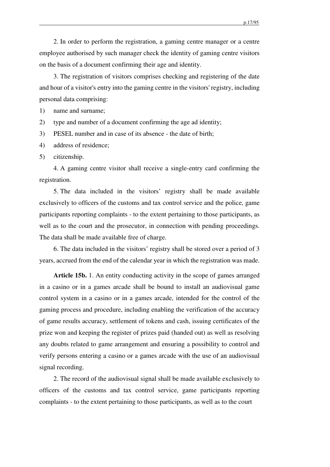p.17/95

2. In order to perform the registration, a gaming centre manager or a centre employee authorised by such manager check the identity of gaming centre visitors on the basis of a document confirming their age and identity.

3. The registration of visitors comprises checking and registering of the date and hour of a visitor's entry into the gaming centre in the visitors' registry, including personal data comprising:

1) name and surname;

2) type and number of a document confirming the age ad identity;

3) PESEL number and in case of its absence - the date of birth;

4) address of residence;

5) citizenship.

4. A gaming centre visitor shall receive a single-entry card confirming the registration.

5. The data included in the visitors' registry shall be made available exclusively to officers of the customs and tax control service and the police, game participants reporting complaints - to the extent pertaining to those participants, as well as to the court and the prosecutor, in connection with pending proceedings. The data shall be made available free of charge.

6. The data included in the visitors' registry shall be stored over a period of 3 years, accrued from the end of the calendar year in which the registration was made.

**Article 15b.** 1. An entity conducting activity in the scope of games arranged in a casino or in a games arcade shall be bound to install an audiovisual game control system in a casino or in a games arcade, intended for the control of the gaming process and procedure, including enabling the verification of the accuracy of game results accuracy, settlement of tokens and cash, issuing certificates of the prize won and keeping the register of prizes paid (handed out) as well as resolving any doubts related to game arrangement and ensuring a possibility to control and verify persons entering a casino or a games arcade with the use of an audiovisual signal recording.

2. The record of the audiovisual signal shall be made available exclusively to officers of the customs and tax control service, game participants reporting complaints - to the extent pertaining to those participants, as well as to the court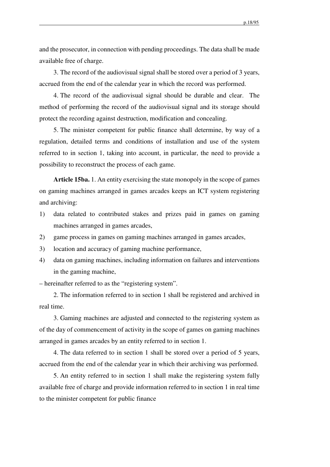and the prosecutor, in connection with pending proceedings. The data shall be made available free of charge.

3. The record of the audiovisual signal shall be stored over a period of 3 years, accrued from the end of the calendar year in which the record was performed.

4. The record of the audiovisual signal should be durable and clear. The method of performing the record of the audiovisual signal and its storage should protect the recording against destruction, modification and concealing.

5. The minister competent for public finance shall determine, by way of a regulation, detailed terms and conditions of installation and use of the system referred to in section 1, taking into account, in particular, the need to provide a possibility to reconstruct the process of each game.

**Article 15ba.** 1. An entity exercising the state monopoly in the scope of games on gaming machines arranged in games arcades keeps an ICT system registering and archiving:

- 1) data related to contributed stakes and prizes paid in games on gaming machines arranged in games arcades,
- 2) game process in games on gaming machines arranged in games arcades,
- 3) location and accuracy of gaming machine performance,
- 4) data on gaming machines, including information on failures and interventions in the gaming machine,

– hereinafter referred to as the "registering system".

2. The information referred to in section 1 shall be registered and archived in real time.

3. Gaming machines are adjusted and connected to the registering system as of the day of commencement of activity in the scope of games on gaming machines arranged in games arcades by an entity referred to in section 1.

4. The data referred to in section 1 shall be stored over a period of 5 years, accrued from the end of the calendar year in which their archiving was performed.

5. An entity referred to in section 1 shall make the registering system fully available free of charge and provide information referred to in section 1 in real time to the minister competent for public finance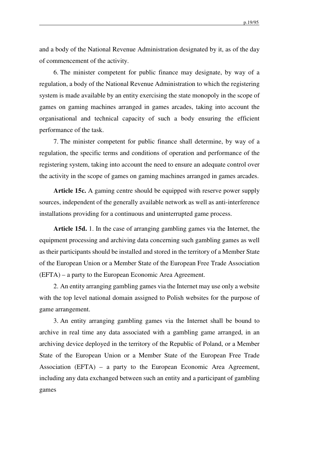p.19/95

and a body of the National Revenue Administration designated by it, as of the day of commencement of the activity.

6. The minister competent for public finance may designate, by way of a regulation, a body of the National Revenue Administration to which the registering system is made available by an entity exercising the state monopoly in the scope of games on gaming machines arranged in games arcades, taking into account the organisational and technical capacity of such a body ensuring the efficient performance of the task.

7. The minister competent for public finance shall determine, by way of a regulation, the specific terms and conditions of operation and performance of the registering system, taking into account the need to ensure an adequate control over the activity in the scope of games on gaming machines arranged in games arcades.

**Article 15c.** A gaming centre should be equipped with reserve power supply sources, independent of the generally available network as well as anti-interference installations providing for a continuous and uninterrupted game process.

**Article 15d.** 1. In the case of arranging gambling games via the Internet, the equipment processing and archiving data concerning such gambling games as well as their participants should be installed and stored in the territory of a Member State of the European Union or a Member State of the European Free Trade Association (EFTA) – a party to the European Economic Area Agreement.

2. An entity arranging gambling games via the Internet may use only a website with the top level national domain assigned to Polish websites for the purpose of game arrangement.

3. An entity arranging gambling games via the Internet shall be bound to archive in real time any data associated with a gambling game arranged, in an archiving device deployed in the territory of the Republic of Poland, or a Member State of the European Union or a Member State of the European Free Trade Association (EFTA) – a party to the European Economic Area Agreement, including any data exchanged between such an entity and a participant of gambling games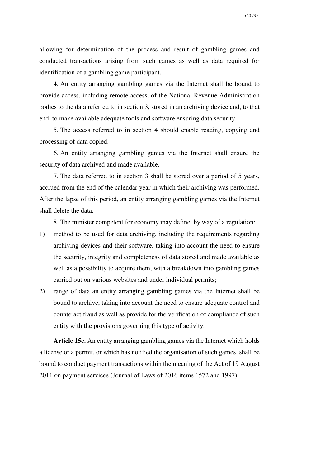allowing for determination of the process and result of gambling games and conducted transactions arising from such games as well as data required for identification of a gambling game participant.

4. An entity arranging gambling games via the Internet shall be bound to provide access, including remote access, of the National Revenue Administration bodies to the data referred to in section 3, stored in an archiving device and, to that end, to make available adequate tools and software ensuring data security.

5. The access referred to in section 4 should enable reading, copying and processing of data copied.

6. An entity arranging gambling games via the Internet shall ensure the security of data archived and made available.

7. The data referred to in section 3 shall be stored over a period of 5 years, accrued from the end of the calendar year in which their archiving was performed. After the lapse of this period, an entity arranging gambling games via the Internet shall delete the data.

8. The minister competent for economy may define, by way of a regulation:

- 1) method to be used for data archiving, including the requirements regarding archiving devices and their software, taking into account the need to ensure the security, integrity and completeness of data stored and made available as well as a possibility to acquire them, with a breakdown into gambling games carried out on various websites and under individual permits;
- 2) range of data an entity arranging gambling games via the Internet shall be bound to archive, taking into account the need to ensure adequate control and counteract fraud as well as provide for the verification of compliance of such entity with the provisions governing this type of activity.

**Article 15e.** An entity arranging gambling games via the Internet which holds a license or a permit, or which has notified the organisation of such games, shall be bound to conduct payment transactions within the meaning of the Act of 19 August 2011 on payment services (Journal of Laws of 2016 items 1572 and 1997),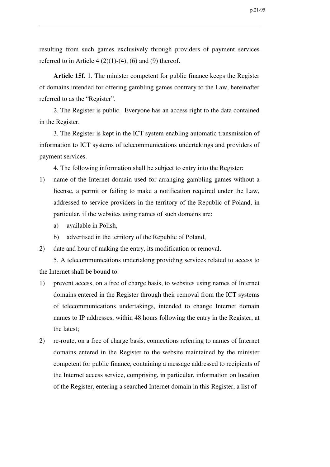resulting from such games exclusively through providers of payment services referred to in Article 4  $(2)(1)-(4)$ ,  $(6)$  and  $(9)$  thereof.

**Article 15f.** 1. The minister competent for public finance keeps the Register of domains intended for offering gambling games contrary to the Law, hereinafter referred to as the "Register".

2. The Register is public. Everyone has an access right to the data contained in the Register.

3. The Register is kept in the ICT system enabling automatic transmission of information to ICT systems of telecommunications undertakings and providers of payment services.

4. The following information shall be subject to entry into the Register:

- 1) name of the Internet domain used for arranging gambling games without a license, a permit or failing to make a notification required under the Law, addressed to service providers in the territory of the Republic of Poland, in particular, if the websites using names of such domains are:
	- a) available in Polish,
	- b) advertised in the territory of the Republic of Poland,
- 2) date and hour of making the entry, its modification or removal.

5. A telecommunications undertaking providing services related to access to the Internet shall be bound to:

- 1) prevent access, on a free of charge basis, to websites using names of Internet domains entered in the Register through their removal from the ICT systems of telecommunications undertakings, intended to change Internet domain names to IP addresses, within 48 hours following the entry in the Register, at the latest;
- 2) re-route, on a free of charge basis, connections referring to names of Internet domains entered in the Register to the website maintained by the minister competent for public finance, containing a message addressed to recipients of the Internet access service, comprising, in particular, information on location of the Register, entering a searched Internet domain in this Register, a list of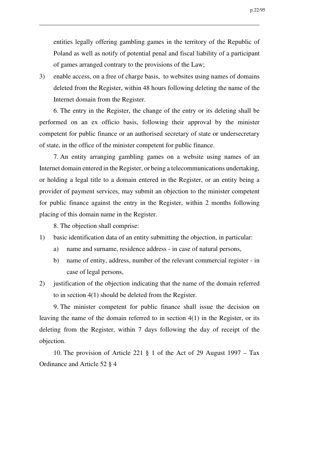entities legally offering gambling games in the territory of the Republic of Poland as well as notify of potential penal and fiscal liability of a participant of games arranged contrary to the provisions of the Law;

3) enable access, on a free of charge basis, to websites using names of domains deleted from the Register, within 48 hours following deleting the name of the Internet domain from the Register.

6. The entry in the Register, the change of the entry or its deleting shall be performed on an ex officio basis, following their approval by the minister competent for public finance or an authorised secretary of state or undersecretary of state, in the office of the minister competent for public finance.

7. An entity arranging gambling games on a website using names of an Internet domain entered in the Register, or being a telecommunications undertaking, or holding a legal title to a domain entered in the Register, or an entity being a provider of payment services, may submit an objection to the minister competent for public finance against the entry in the Register, within 2 months following placing of this domain name in the Register.

8. The objection shall comprise:

- 1) basic identification data of an entity submitting the objection, in particular:
	- a) name and surname, residence address in case of natural persons,
	- b) name of entity, address, number of the relevant commercial register in case of legal persons,
- 2) justification of the objection indicating that the name of the domain referred to in section 4(1) should be deleted from the Register.

9. The minister competent for public finance shall issue the decision on leaving the name of the domain referred to in section 4(1) in the Register, or its deleting from the Register, within 7 days following the day of receipt of the objection.

10. The provision of Article 221 § 1 of the Act of 29 August 1997 – Tax Ordinance and Article 52 § 4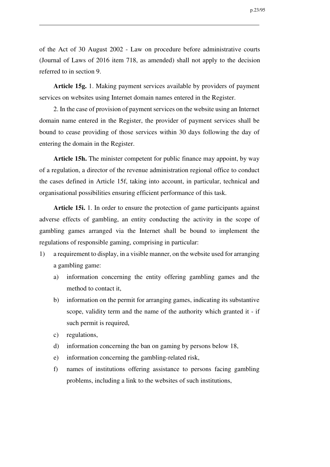of the Act of 30 August 2002 - Law on procedure before administrative courts (Journal of Laws of 2016 item 718, as amended) shall not apply to the decision referred to in section 9.

**Article 15g.** 1. Making payment services available by providers of payment services on websites using Internet domain names entered in the Register.

2. In the case of provision of payment services on the website using an Internet domain name entered in the Register, the provider of payment services shall be bound to cease providing of those services within 30 days following the day of entering the domain in the Register.

**Article 15h.** The minister competent for public finance may appoint, by way of a regulation, a director of the revenue administration regional office to conduct the cases defined in Article 15f, taking into account, in particular, technical and organisational possibilities ensuring efficient performance of this task.

**Article 15i.** 1. In order to ensure the protection of game participants against adverse effects of gambling, an entity conducting the activity in the scope of gambling games arranged via the Internet shall be bound to implement the regulations of responsible gaming, comprising in particular:

- 1) a requirement to display, in a visible manner, on the website used for arranging a gambling game:
	- a) information concerning the entity offering gambling games and the method to contact it,
	- b) information on the permit for arranging games, indicating its substantive scope, validity term and the name of the authority which granted it - if such permit is required,
	- c) regulations,
	- d) information concerning the ban on gaming by persons below 18,
	- e) information concerning the gambling-related risk,
	- f) names of institutions offering assistance to persons facing gambling problems, including a link to the websites of such institutions,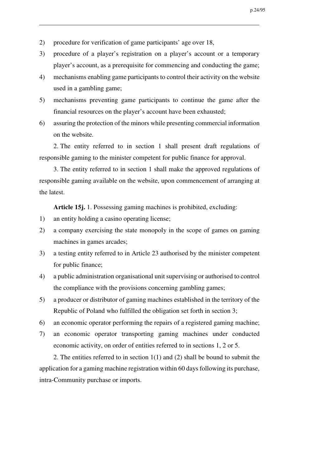- 2) procedure for verification of game participants' age over 18,
- 3) procedure of a player's registration on a player's account or a temporary player's account, as a prerequisite for commencing and conducting the game;
- 4) mechanisms enabling game participants to control their activity on the website used in a gambling game;
- 5) mechanisms preventing game participants to continue the game after the financial resources on the player's account have been exhausted;
- 6) assuring the protection of the minors while presenting commercial information on the website.

2. The entity referred to in section 1 shall present draft regulations of responsible gaming to the minister competent for public finance for approval.

3. The entity referred to in section 1 shall make the approved regulations of responsible gaming available on the website, upon commencement of arranging at the latest.

**Article 15j.** 1. Possessing gaming machines is prohibited, excluding:

- 1) an entity holding a casino operating license;
- 2) a company exercising the state monopoly in the scope of games on gaming machines in games arcades;
- 3) a testing entity referred to in Article 23 authorised by the minister competent for public finance;
- 4) a public administration organisational unit supervising or authorised to control the compliance with the provisions concerning gambling games;
- 5) a producer or distributor of gaming machines established in the territory of the Republic of Poland who fulfilled the obligation set forth in section 3;
- 6) an economic operator performing the repairs of a registered gaming machine;
- 7) an economic operator transporting gaming machines under conducted economic activity, on order of entities referred to in sections 1, 2 or 5.

2. The entities referred to in section 1(1) and (2) shall be bound to submit the application for a gaming machine registration within 60 days following its purchase, intra-Community purchase or imports.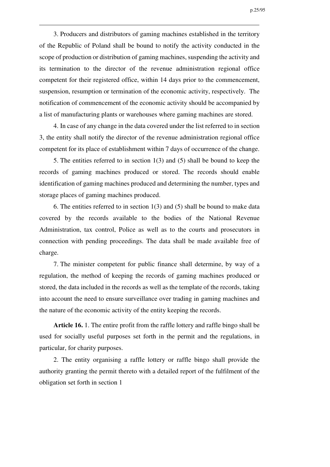3. Producers and distributors of gaming machines established in the territory of the Republic of Poland shall be bound to notify the activity conducted in the scope of production or distribution of gaming machines, suspending the activity and its termination to the director of the revenue administration regional office competent for their registered office, within 14 days prior to the commencement, suspension, resumption or termination of the economic activity, respectively. The notification of commencement of the economic activity should be accompanied by a list of manufacturing plants or warehouses where gaming machines are stored.

4. In case of any change in the data covered under the list referred to in section 3, the entity shall notify the director of the revenue administration regional office competent for its place of establishment within 7 days of occurrence of the change.

5. The entities referred to in section 1(3) and (5) shall be bound to keep the records of gaming machines produced or stored. The records should enable identification of gaming machines produced and determining the number, types and storage places of gaming machines produced.

6. The entities referred to in section 1(3) and (5) shall be bound to make data covered by the records available to the bodies of the National Revenue Administration, tax control, Police as well as to the courts and prosecutors in connection with pending proceedings. The data shall be made available free of charge.

7. The minister competent for public finance shall determine, by way of a regulation, the method of keeping the records of gaming machines produced or stored, the data included in the records as well as the template of the records, taking into account the need to ensure surveillance over trading in gaming machines and the nature of the economic activity of the entity keeping the records.

**Article 16.** 1. The entire profit from the raffle lottery and raffle bingo shall be used for socially useful purposes set forth in the permit and the regulations, in particular, for charity purposes.

2. The entity organising a raffle lottery or raffle bingo shall provide the authority granting the permit thereto with a detailed report of the fulfilment of the obligation set forth in section 1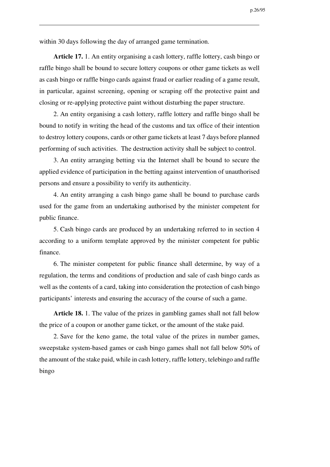within 30 days following the day of arranged game termination.

**Article 17.** 1. An entity organising a cash lottery, raffle lottery, cash bingo or raffle bingo shall be bound to secure lottery coupons or other game tickets as well as cash bingo or raffle bingo cards against fraud or earlier reading of a game result, in particular, against screening, opening or scraping off the protective paint and closing or re-applying protective paint without disturbing the paper structure.

2. An entity organising a cash lottery, raffle lottery and raffle bingo shall be bound to notify in writing the head of the customs and tax office of their intention to destroy lottery coupons, cards or other game tickets at least 7 days before planned performing of such activities. The destruction activity shall be subject to control.

3. An entity arranging betting via the Internet shall be bound to secure the applied evidence of participation in the betting against intervention of unauthorised persons and ensure a possibility to verify its authenticity.

4. An entity arranging a cash bingo game shall be bound to purchase cards used for the game from an undertaking authorised by the minister competent for public finance.

5. Cash bingo cards are produced by an undertaking referred to in section 4 according to a uniform template approved by the minister competent for public finance.

6. The minister competent for public finance shall determine, by way of a regulation, the terms and conditions of production and sale of cash bingo cards as well as the contents of a card, taking into consideration the protection of cash bingo participants' interests and ensuring the accuracy of the course of such a game.

**Article 18.** 1. The value of the prizes in gambling games shall not fall below the price of a coupon or another game ticket, or the amount of the stake paid.

2. Save for the keno game, the total value of the prizes in number games, sweepstake system-based games or cash bingo games shall not fall below 50% of the amount of the stake paid, while in cash lottery, raffle lottery, telebingo and raffle bingo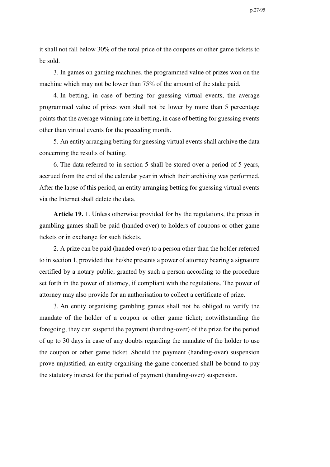it shall not fall below 30% of the total price of the coupons or other game tickets to be sold.

3. In games on gaming machines, the programmed value of prizes won on the machine which may not be lower than 75% of the amount of the stake paid.

4. In betting, in case of betting for guessing virtual events, the average programmed value of prizes won shall not be lower by more than 5 percentage points that the average winning rate in betting, in case of betting for guessing events other than virtual events for the preceding month.

5. An entity arranging betting for guessing virtual events shall archive the data concerning the results of betting.

6. The data referred to in section 5 shall be stored over a period of 5 years, accrued from the end of the calendar year in which their archiving was performed. After the lapse of this period, an entity arranging betting for guessing virtual events via the Internet shall delete the data.

**Article 19.** 1. Unless otherwise provided for by the regulations, the prizes in gambling games shall be paid (handed over) to holders of coupons or other game tickets or in exchange for such tickets.

2. A prize can be paid (handed over) to a person other than the holder referred to in section 1, provided that he/she presents a power of attorney bearing a signature certified by a notary public, granted by such a person according to the procedure set forth in the power of attorney, if compliant with the regulations. The power of attorney may also provide for an authorisation to collect a certificate of prize.

3. An entity organising gambling games shall not be obliged to verify the mandate of the holder of a coupon or other game ticket; notwithstanding the foregoing, they can suspend the payment (handing-over) of the prize for the period of up to 30 days in case of any doubts regarding the mandate of the holder to use the coupon or other game ticket. Should the payment (handing-over) suspension prove unjustified, an entity organising the game concerned shall be bound to pay the statutory interest for the period of payment (handing-over) suspension.

p.27/95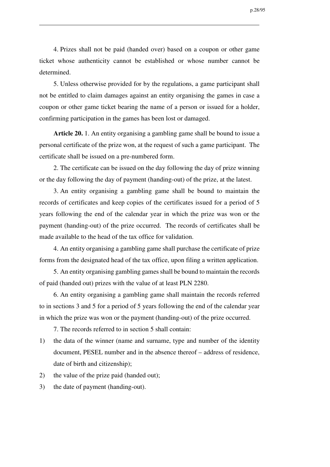p.28/95

4. Prizes shall not be paid (handed over) based on a coupon or other game ticket whose authenticity cannot be established or whose number cannot be determined.

5. Unless otherwise provided for by the regulations, a game participant shall not be entitled to claim damages against an entity organising the games in case a coupon or other game ticket bearing the name of a person or issued for a holder, confirming participation in the games has been lost or damaged.

**Article 20.** 1. An entity organising a gambling game shall be bound to issue a personal certificate of the prize won, at the request of such a game participant. The certificate shall be issued on a pre-numbered form.

2. The certificate can be issued on the day following the day of prize winning or the day following the day of payment (handing-out) of the prize, at the latest.

3. An entity organising a gambling game shall be bound to maintain the records of certificates and keep copies of the certificates issued for a period of 5 years following the end of the calendar year in which the prize was won or the payment (handing-out) of the prize occurred. The records of certificates shall be made available to the head of the tax office for validation.

4. An entity organising a gambling game shall purchase the certificate of prize forms from the designated head of the tax office, upon filing a written application.

5. An entity organising gambling games shall be bound to maintain the records of paid (handed out) prizes with the value of at least PLN 2280.

6. An entity organising a gambling game shall maintain the records referred to in sections 3 and 5 for a period of 5 years following the end of the calendar year in which the prize was won or the payment (handing-out) of the prize occurred.

7. The records referred to in section 5 shall contain:

- 1) the data of the winner (name and surname, type and number of the identity document, PESEL number and in the absence thereof – address of residence, date of birth and citizenship);
- 2) the value of the prize paid (handed out);
- 3) the date of payment (handing-out).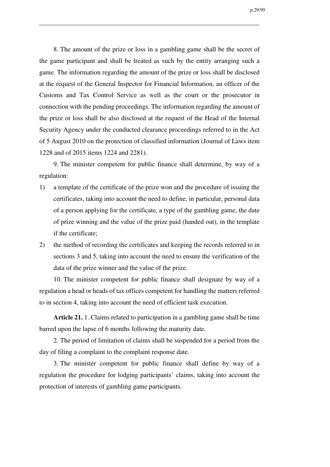p.29/95

8. The amount of the prize or loss in a gambling game shall be the secret of the game participant and shall be treated as such by the entity arranging such a game. The information regarding the amount of the prize or loss shall be disclosed at the request of the General Inspector for Financial Information, an officer of the Customs and Tax Control Service as well as the court or the prosecutor in connection with the pending proceedings. The information regarding the amount of the prize or loss shall be also disclosed at the request of the Head of the Internal Security Agency under the conducted clearance proceedings referred to in the Act of 5 August 2010 on the protection of classified information (Journal of Laws item 1228 and of 2015 items 1224 and 2281).

9. The minister competent for public finance shall determine, by way of a regulation:

- 1) a template of the certificate of the prize won and the procedure of issuing the certificates, taking into account the need to define, in particular, personal data of a person applying for the certificate, a type of the gambling game, the date of prize winning and the value of the prize paid (handed out), in the template if the certificate;
- 2) the method of recording the certificates and keeping the records referred to in sections 3 and 5, taking into account the need to ensure the verification of the data of the prize winner and the value of the prize.

10. The minister competent for public finance shall designate by way of a regulation a head or heads of tax offices competent for handling the matters referred to in section 4, taking into account the need of efficient task execution.

**Article 21.** 1. Claims related to participation in a gambling game shall be time barred upon the lapse of 6 months following the maturity date.

2. The period of limitation of claims shall be suspended for a period from the day of filing a complaint to the complaint response date.

3. The minister competent for public finance shall define by way of a regulation the procedure for lodging participants' claims, taking into account the protection of interests of gambling game participants.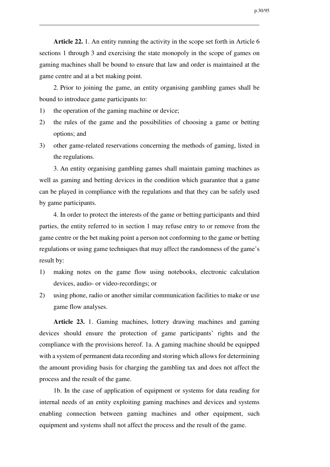**Article 22.** 1. An entity running the activity in the scope set forth in Article 6 sections 1 through 3 and exercising the state monopoly in the scope of games on gaming machines shall be bound to ensure that law and order is maintained at the game centre and at a bet making point.

2. Prior to joining the game, an entity organising gambling games shall be bound to introduce game participants to:

- 1) the operation of the gaming machine or device;
- 2) the rules of the game and the possibilities of choosing a game or betting options; and
- 3) other game-related reservations concerning the methods of gaming, listed in the regulations.

3. An entity organising gambling games shall maintain gaming machines as well as gaming and betting devices in the condition which guarantee that a game can be played in compliance with the regulations and that they can be safely used by game participants.

4. In order to protect the interests of the game or betting participants and third parties, the entity referred to in section 1 may refuse entry to or remove from the game centre or the bet making point a person not conforming to the game or betting regulations or using game techniques that may affect the randomness of the game's result by:

- 1) making notes on the game flow using notebooks, electronic calculation devices, audio- or video-recordings; or
- 2) using phone, radio or another similar communication facilities to make or use game flow analyses.

**Article 23.** 1. Gaming machines, lottery drawing machines and gaming devices should ensure the protection of game participants' rights and the compliance with the provisions hereof. 1a. A gaming machine should be equipped with a system of permanent data recording and storing which allows for determining the amount providing basis for charging the gambling tax and does not affect the process and the result of the game.

1b. In the case of application of equipment or systems for data reading for internal needs of an entity exploiting gaming machines and devices and systems enabling connection between gaming machines and other equipment, such equipment and systems shall not affect the process and the result of the game.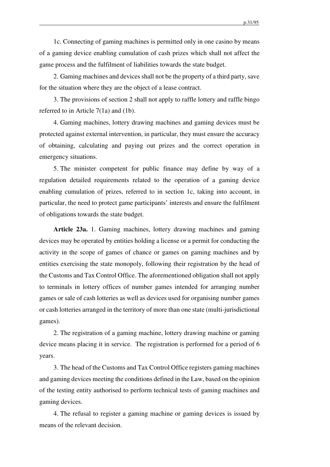1c. Connecting of gaming machines is permitted only in one casino by means of a gaming device enabling cumulation of cash prizes which shall not affect the game process and the fulfilment of liabilities towards the state budget.

2. Gaming machines and devices shall not be the property of a third party, save for the situation where they are the object of a lease contract.

3. The provisions of section 2 shall not apply to raffle lottery and raffle bingo referred to in Article 7(1a) and (1b).

4. Gaming machines, lottery drawing machines and gaming devices must be protected against external intervention, in particular, they must ensure the accuracy of obtaining, calculating and paying out prizes and the correct operation in emergency situations.

5. The minister competent for public finance may define by way of a regulation detailed requirements related to the operation of a gaming device enabling cumulation of prizes, referred to in section 1c, taking into account, in particular, the need to protect game participants' interests and ensure the fulfilment of obligations towards the state budget.

**Article 23a.** 1. Gaming machines, lottery drawing machines and gaming devices may be operated by entities holding a license or a permit for conducting the activity in the scope of games of chance or games on gaming machines and by entities exercising the state monopoly, following their registration by the head of the Customs and Tax Control Office. The aforementioned obligation shall not apply to terminals in lottery offices of number games intended for arranging number games or sale of cash lotteries as well as devices used for organising number games or cash lotteries arranged in the territory of more than one state (multi-jurisdictional games).

2. The registration of a gaming machine, lottery drawing machine or gaming device means placing it in service. The registration is performed for a period of 6 years.

3. The head of the Customs and Tax Control Office registers gaming machines and gaming devices meeting the conditions defined in the Law, based on the opinion of the testing entity authorised to perform technical tests of gaming machines and gaming devices.

4. The refusal to register a gaming machine or gaming devices is issued by means of the relevant decision.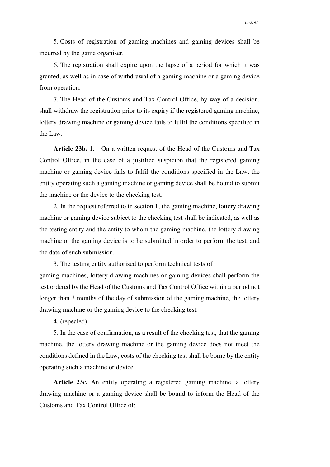5. Costs of registration of gaming machines and gaming devices shall be incurred by the game organiser.

6. The registration shall expire upon the lapse of a period for which it was granted, as well as in case of withdrawal of a gaming machine or a gaming device from operation.

7. The Head of the Customs and Tax Control Office, by way of a decision, shall withdraw the registration prior to its expiry if the registered gaming machine, lottery drawing machine or gaming device fails to fulfil the conditions specified in the Law.

**Article 23b.** 1. On a written request of the Head of the Customs and Tax Control Office, in the case of a justified suspicion that the registered gaming machine or gaming device fails to fulfil the conditions specified in the Law, the entity operating such a gaming machine or gaming device shall be bound to submit the machine or the device to the checking test.

2. In the request referred to in section 1, the gaming machine, lottery drawing machine or gaming device subject to the checking test shall be indicated, as well as the testing entity and the entity to whom the gaming machine, the lottery drawing machine or the gaming device is to be submitted in order to perform the test, and the date of such submission.

3. The testing entity authorised to perform technical tests of gaming machines, lottery drawing machines or gaming devices shall perform the test ordered by the Head of the Customs and Tax Control Office within a period not longer than 3 months of the day of submission of the gaming machine, the lottery drawing machine or the gaming device to the checking test.

4. (repealed)

5. In the case of confirmation, as a result of the checking test, that the gaming machine, the lottery drawing machine or the gaming device does not meet the conditions defined in the Law, costs of the checking test shall be borne by the entity operating such a machine or device.

**Article 23c.** An entity operating a registered gaming machine, a lottery drawing machine or a gaming device shall be bound to inform the Head of the Customs and Tax Control Office of: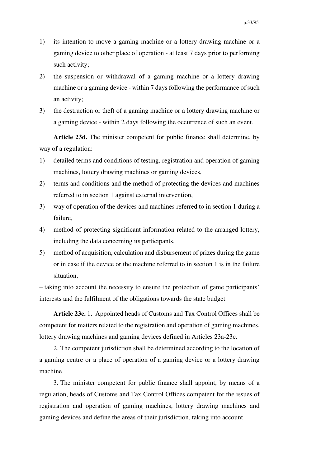- 1) its intention to move a gaming machine or a lottery drawing machine or a gaming device to other place of operation - at least 7 days prior to performing such activity;
- 2) the suspension or withdrawal of a gaming machine or a lottery drawing machine or a gaming device - within 7 days following the performance of such an activity;
- 3) the destruction or theft of a gaming machine or a lottery drawing machine or a gaming device - within 2 days following the occurrence of such an event.

**Article 23d.** The minister competent for public finance shall determine, by way of a regulation:

- 1) detailed terms and conditions of testing, registration and operation of gaming machines, lottery drawing machines or gaming devices,
- 2) terms and conditions and the method of protecting the devices and machines referred to in section 1 against external intervention,
- 3) way of operation of the devices and machines referred to in section 1 during a failure,
- 4) method of protecting significant information related to the arranged lottery, including the data concerning its participants,
- 5) method of acquisition, calculation and disbursement of prizes during the game or in case if the device or the machine referred to in section 1 is in the failure situation,

– taking into account the necessity to ensure the protection of game participants' interests and the fulfilment of the obligations towards the state budget.

**Article 23e.** 1. Appointed heads of Customs and Tax Control Offices shall be competent for matters related to the registration and operation of gaming machines, lottery drawing machines and gaming devices defined in Articles 23a-23c.

2. The competent jurisdiction shall be determined according to the location of a gaming centre or a place of operation of a gaming device or a lottery drawing machine.

3. The minister competent for public finance shall appoint, by means of a regulation, heads of Customs and Tax Control Offices competent for the issues of registration and operation of gaming machines, lottery drawing machines and gaming devices and define the areas of their jurisdiction, taking into account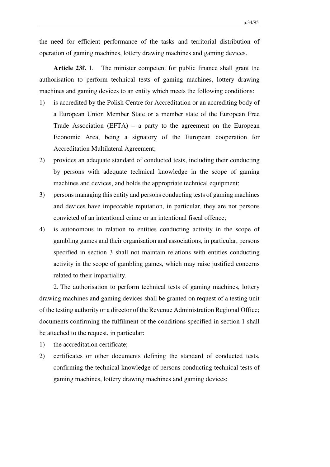the need for efficient performance of the tasks and territorial distribution of operation of gaming machines, lottery drawing machines and gaming devices.

**Article 23f.** 1. The minister competent for public finance shall grant the authorisation to perform technical tests of gaming machines, lottery drawing machines and gaming devices to an entity which meets the following conditions:

- 1) is accredited by the Polish Centre for Accreditation or an accrediting body of a European Union Member State or a member state of the European Free Trade Association (EFTA) – a party to the agreement on the European Economic Area, being a signatory of the European cooperation for Accreditation Multilateral Agreement;
- 2) provides an adequate standard of conducted tests, including their conducting by persons with adequate technical knowledge in the scope of gaming machines and devices, and holds the appropriate technical equipment;
- 3) persons managing this entity and persons conducting tests of gaming machines and devices have impeccable reputation, in particular, they are not persons convicted of an intentional crime or an intentional fiscal offence;
- 4) is autonomous in relation to entities conducting activity in the scope of gambling games and their organisation and associations, in particular, persons specified in section 3 shall not maintain relations with entities conducting activity in the scope of gambling games, which may raise justified concerns related to their impartiality.

2. The authorisation to perform technical tests of gaming machines, lottery drawing machines and gaming devices shall be granted on request of a testing unit of the testing authority or a director of the Revenue Administration Regional Office; documents confirming the fulfilment of the conditions specified in section 1 shall be attached to the request, in particular:

- 1) the accreditation certificate;
- 2) certificates or other documents defining the standard of conducted tests, confirming the technical knowledge of persons conducting technical tests of gaming machines, lottery drawing machines and gaming devices;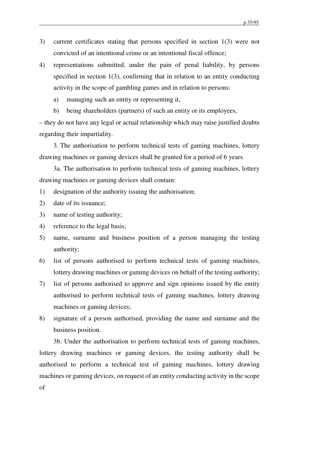- 3) current certificates stating that persons specified in section 1(3) were not convicted of an intentional crime or an intentional fiscal offence;
- 4) representations submitted, under the pain of penal liability, by persons specified in section 1(3), confirming that in relation to an entity conducting activity in the scope of gambling games and in relation to persons:
	- a) managing such an entity or representing it,
	- b) being shareholders (partners) of such an entity or its employees,

– they do not have any legal or actual relationship which may raise justified doubts regarding their impartiality.

3. The authorisation to perform technical tests of gaming machines, lottery drawing machines or gaming devices shall be granted for a period of 6 years.

3a. The authorisation to perform technical tests of gaming machines, lottery drawing machines or gaming devices shall contain:

- 1) designation of the authority issuing the authorisation;
- 2) date of its issuance;
- 3) name of testing authority;
- 4) reference to the legal basis;
- 5) name, surname and business position of a person managing the testing authority;
- 6) list of persons authorised to perform technical tests of gaming machines, lottery drawing machines or gaming devices on behalf of the testing authority;
- 7) list of persons authorised to approve and sign opinions issued by the entity authorised to perform technical tests of gaming machines, lottery drawing machines or gaming devices;
- 8) signature of a person authorised, providing the name and surname and the business position.

3b. Under the authorisation to perform technical tests of gaming machines, lottery drawing machines or gaming devices, the testing authority shall be authorised to perform a technical test of gaming machines, lottery drawing machines or gaming devices, on request of an entity conducting activity in the scope of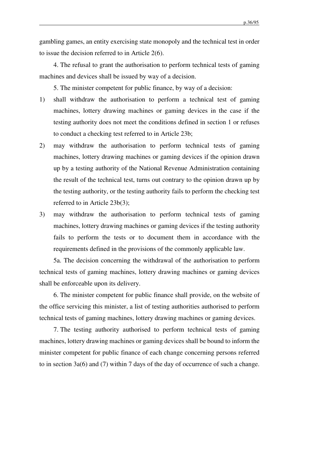gambling games, an entity exercising state monopoly and the technical test in order to issue the decision referred to in Article 2(6).

4. The refusal to grant the authorisation to perform technical tests of gaming machines and devices shall be issued by way of a decision.

5. The minister competent for public finance, by way of a decision:

- 1) shall withdraw the authorisation to perform a technical test of gaming machines, lottery drawing machines or gaming devices in the case if the testing authority does not meet the conditions defined in section 1 or refuses to conduct a checking test referred to in Article 23b;
- 2) may withdraw the authorisation to perform technical tests of gaming machines, lottery drawing machines or gaming devices if the opinion drawn up by a testing authority of the National Revenue Administration containing the result of the technical test, turns out contrary to the opinion drawn up by the testing authority, or the testing authority fails to perform the checking test referred to in Article 23b(3);
- 3) may withdraw the authorisation to perform technical tests of gaming machines, lottery drawing machines or gaming devices if the testing authority fails to perform the tests or to document them in accordance with the requirements defined in the provisions of the commonly applicable law.

5a. The decision concerning the withdrawal of the authorisation to perform technical tests of gaming machines, lottery drawing machines or gaming devices shall be enforceable upon its delivery.

6. The minister competent for public finance shall provide, on the website of the office servicing this minister, a list of testing authorities authorised to perform technical tests of gaming machines, lottery drawing machines or gaming devices.

7. The testing authority authorised to perform technical tests of gaming machines, lottery drawing machines or gaming devices shall be bound to inform the minister competent for public finance of each change concerning persons referred to in section 3a(6) and (7) within 7 days of the day of occurrence of such a change.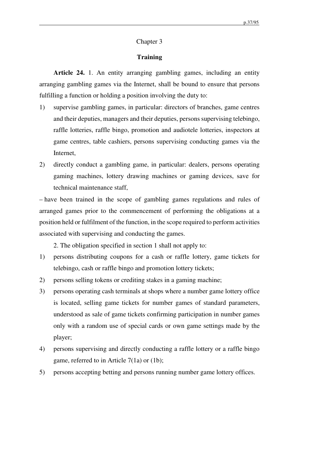# Chapter 3

# **Training**

**Article 24.** 1. An entity arranging gambling games, including an entity arranging gambling games via the Internet, shall be bound to ensure that persons fulfilling a function or holding a position involving the duty to:

- 1) supervise gambling games, in particular: directors of branches, game centres and their deputies, managers and their deputies, persons supervising telebingo, raffle lotteries, raffle bingo, promotion and audiotele lotteries, inspectors at game centres, table cashiers, persons supervising conducting games via the Internet,
- 2) directly conduct a gambling game, in particular: dealers, persons operating gaming machines, lottery drawing machines or gaming devices, save for technical maintenance staff,

– have been trained in the scope of gambling games regulations and rules of arranged games prior to the commencement of performing the obligations at a position held or fulfilment of the function, in the scope required to perform activities associated with supervising and conducting the games.

2. The obligation specified in section 1 shall not apply to:

- 1) persons distributing coupons for a cash or raffle lottery, game tickets for telebingo, cash or raffle bingo and promotion lottery tickets;
- 2) persons selling tokens or crediting stakes in a gaming machine;
- 3) persons operating cash terminals at shops where a number game lottery office is located, selling game tickets for number games of standard parameters, understood as sale of game tickets confirming participation in number games only with a random use of special cards or own game settings made by the player;
- 4) persons supervising and directly conducting a raffle lottery or a raffle bingo game, referred to in Article 7(1a) or (1b);
- 5) persons accepting betting and persons running number game lottery offices.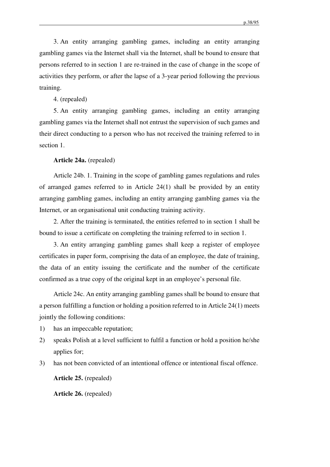3. An entity arranging gambling games, including an entity arranging gambling games via the Internet shall via the Internet, shall be bound to ensure that persons referred to in section 1 are re-trained in the case of change in the scope of activities they perform, or after the lapse of a 3-year period following the previous training.

4. (repealed)

5. An entity arranging gambling games, including an entity arranging gambling games via the Internet shall not entrust the supervision of such games and their direct conducting to a person who has not received the training referred to in section 1.

### **Article 24a.** (repealed)

Article 24b. 1. Training in the scope of gambling games regulations and rules of arranged games referred to in Article 24(1) shall be provided by an entity arranging gambling games, including an entity arranging gambling games via the Internet, or an organisational unit conducting training activity.

2. After the training is terminated, the entities referred to in section 1 shall be bound to issue a certificate on completing the training referred to in section 1.

3. An entity arranging gambling games shall keep a register of employee certificates in paper form, comprising the data of an employee, the date of training, the data of an entity issuing the certificate and the number of the certificate confirmed as a true copy of the original kept in an employee's personal file.

Article 24c. An entity arranging gambling games shall be bound to ensure that a person fulfilling a function or holding a position referred to in Article 24(1) meets jointly the following conditions:

- 1) has an impeccable reputation;
- 2) speaks Polish at a level sufficient to fulfil a function or hold a position he/she applies for;
- 3) has not been convicted of an intentional offence or intentional fiscal offence.

**Article 25.** (repealed)

**Article 26.** (repealed)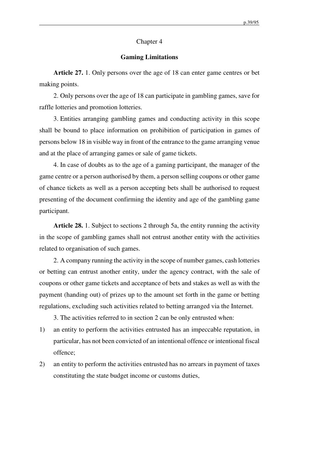## Chapter 4

## **Gaming Limitations**

**Article 27.** 1. Only persons over the age of 18 can enter game centres or bet making points.

2. Only persons over the age of 18 can participate in gambling games, save for raffle lotteries and promotion lotteries.

3. Entities arranging gambling games and conducting activity in this scope shall be bound to place information on prohibition of participation in games of persons below 18 in visible way in front of the entrance to the game arranging venue and at the place of arranging games or sale of game tickets.

4. In case of doubts as to the age of a gaming participant, the manager of the game centre or a person authorised by them, a person selling coupons or other game of chance tickets as well as a person accepting bets shall be authorised to request presenting of the document confirming the identity and age of the gambling game participant.

**Article 28.** 1. Subject to sections 2 through 5a, the entity running the activity in the scope of gambling games shall not entrust another entity with the activities related to organisation of such games.

2. A company running the activity in the scope of number games, cash lotteries or betting can entrust another entity, under the agency contract, with the sale of coupons or other game tickets and acceptance of bets and stakes as well as with the payment (handing out) of prizes up to the amount set forth in the game or betting regulations, excluding such activities related to betting arranged via the Internet.

3. The activities referred to in section 2 can be only entrusted when:

- 1) an entity to perform the activities entrusted has an impeccable reputation, in particular, has not been convicted of an intentional offence or intentional fiscal offence;
- 2) an entity to perform the activities entrusted has no arrears in payment of taxes constituting the state budget income or customs duties,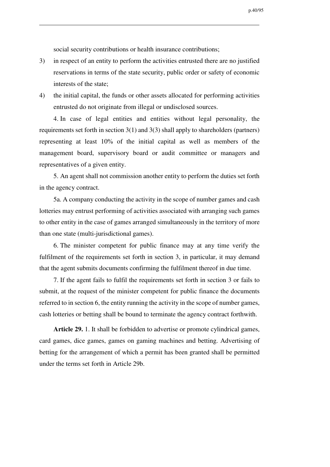social security contributions or health insurance contributions;

- 3) in respect of an entity to perform the activities entrusted there are no justified reservations in terms of the state security, public order or safety of economic interests of the state;
- 4) the initial capital, the funds or other assets allocated for performing activities entrusted do not originate from illegal or undisclosed sources.

4. In case of legal entities and entities without legal personality, the requirements set forth in section 3(1) and 3(3) shall apply to shareholders (partners) representing at least 10% of the initial capital as well as members of the management board, supervisory board or audit committee or managers and representatives of a given entity.

5. An agent shall not commission another entity to perform the duties set forth in the agency contract.

5a. A company conducting the activity in the scope of number games and cash lotteries may entrust performing of activities associated with arranging such games to other entity in the case of games arranged simultaneously in the territory of more than one state (multi-jurisdictional games).

6. The minister competent for public finance may at any time verify the fulfilment of the requirements set forth in section 3, in particular, it may demand that the agent submits documents confirming the fulfilment thereof in due time.

7. If the agent fails to fulfil the requirements set forth in section 3 or fails to submit, at the request of the minister competent for public finance the documents referred to in section 6, the entity running the activity in the scope of number games, cash lotteries or betting shall be bound to terminate the agency contract forthwith.

**Article 29.** 1. It shall be forbidden to advertise or promote cylindrical games, card games, dice games, games on gaming machines and betting. Advertising of betting for the arrangement of which a permit has been granted shall be permitted under the terms set forth in Article 29b.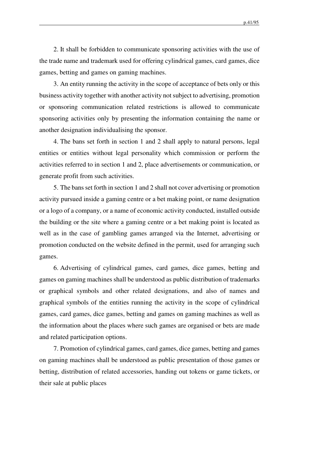p.41/95

2. It shall be forbidden to communicate sponsoring activities with the use of the trade name and trademark used for offering cylindrical games, card games, dice games, betting and games on gaming machines.

3. An entity running the activity in the scope of acceptance of bets only or this business activity together with another activity not subject to advertising, promotion or sponsoring communication related restrictions is allowed to communicate sponsoring activities only by presenting the information containing the name or another designation individualising the sponsor.

4. The bans set forth in section 1 and 2 shall apply to natural persons, legal entities or entities without legal personality which commission or perform the activities referred to in section 1 and 2, place advertisements or communication, or generate profit from such activities.

5. The bans set forth in section 1 and 2 shall not cover advertising or promotion activity pursued inside a gaming centre or a bet making point, or name designation or a logo of a company, or a name of economic activity conducted, installed outside the building or the site where a gaming centre or a bet making point is located as well as in the case of gambling games arranged via the Internet, advertising or promotion conducted on the website defined in the permit, used for arranging such games.

6. Advertising of cylindrical games, card games, dice games, betting and games on gaming machines shall be understood as public distribution of trademarks or graphical symbols and other related designations, and also of names and graphical symbols of the entities running the activity in the scope of cylindrical games, card games, dice games, betting and games on gaming machines as well as the information about the places where such games are organised or bets are made and related participation options.

7. Promotion of cylindrical games, card games, dice games, betting and games on gaming machines shall be understood as public presentation of those games or betting, distribution of related accessories, handing out tokens or game tickets, or their sale at public places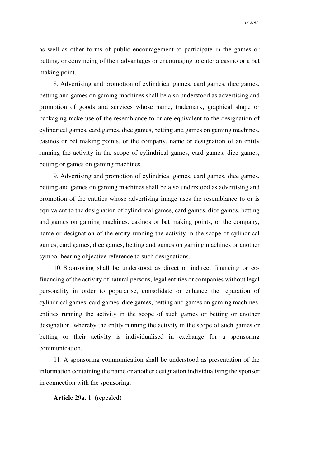as well as other forms of public encouragement to participate in the games or betting, or convincing of their advantages or encouraging to enter a casino or a bet making point.

8. Advertising and promotion of cylindrical games, card games, dice games, betting and games on gaming machines shall be also understood as advertising and promotion of goods and services whose name, trademark, graphical shape or packaging make use of the resemblance to or are equivalent to the designation of cylindrical games, card games, dice games, betting and games on gaming machines, casinos or bet making points, or the company, name or designation of an entity running the activity in the scope of cylindrical games, card games, dice games, betting or games on gaming machines.

9. Advertising and promotion of cylindrical games, card games, dice games, betting and games on gaming machines shall be also understood as advertising and promotion of the entities whose advertising image uses the resemblance to or is equivalent to the designation of cylindrical games, card games, dice games, betting and games on gaming machines, casinos or bet making points, or the company, name or designation of the entity running the activity in the scope of cylindrical games, card games, dice games, betting and games on gaming machines or another symbol bearing objective reference to such designations.

10. Sponsoring shall be understood as direct or indirect financing or cofinancing of the activity of natural persons, legal entities or companies without legal personality in order to popularise, consolidate or enhance the reputation of cylindrical games, card games, dice games, betting and games on gaming machines, entities running the activity in the scope of such games or betting or another designation, whereby the entity running the activity in the scope of such games or betting or their activity is individualised in exchange for a sponsoring communication.

11. A sponsoring communication shall be understood as presentation of the information containing the name or another designation individualising the sponsor in connection with the sponsoring.

**Article 29a.** 1. (repealed)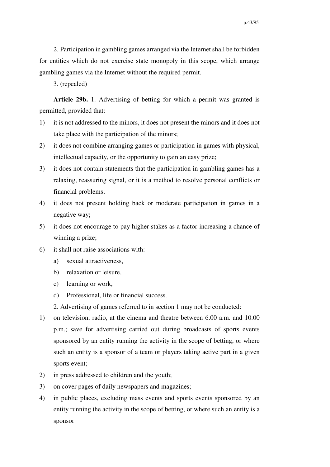2. Participation in gambling games arranged via the Internet shall be forbidden for entities which do not exercise state monopoly in this scope, which arrange gambling games via the Internet without the required permit.

3. (repealed)

**Article 29b.** 1. Advertising of betting for which a permit was granted is permitted, provided that:

- 1) it is not addressed to the minors, it does not present the minors and it does not take place with the participation of the minors;
- 2) it does not combine arranging games or participation in games with physical, intellectual capacity, or the opportunity to gain an easy prize;
- 3) it does not contain statements that the participation in gambling games has a relaxing, reassuring signal, or it is a method to resolve personal conflicts or financial problems;
- 4) it does not present holding back or moderate participation in games in a negative way;
- 5) it does not encourage to pay higher stakes as a factor increasing a chance of winning a prize;
- 6) it shall not raise associations with:
	- a) sexual attractiveness,
	- b) relaxation or leisure,
	- c) learning or work,
	- d) Professional, life or financial success.
	- 2. Advertising of games referred to in section 1 may not be conducted:
- 1) on television, radio, at the cinema and theatre between 6.00 a.m. and 10.00 p.m.; save for advertising carried out during broadcasts of sports events sponsored by an entity running the activity in the scope of betting, or where such an entity is a sponsor of a team or players taking active part in a given sports event;
- 2) in press addressed to children and the youth;
- 3) on cover pages of daily newspapers and magazines;
- 4) in public places, excluding mass events and sports events sponsored by an entity running the activity in the scope of betting, or where such an entity is a sponsor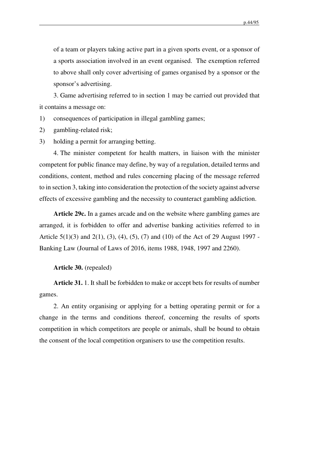of a team or players taking active part in a given sports event, or a sponsor of a sports association involved in an event organised. The exemption referred to above shall only cover advertising of games organised by a sponsor or the sponsor's advertising.

3. Game advertising referred to in section 1 may be carried out provided that it contains a message on:

- 1) consequences of participation in illegal gambling games;
- 2) gambling-related risk;
- 3) holding a permit for arranging betting.

4. The minister competent for health matters, in liaison with the minister competent for public finance may define, by way of a regulation, detailed terms and conditions, content, method and rules concerning placing of the message referred to in section 3, taking into consideration the protection of the society against adverse effects of excessive gambling and the necessity to counteract gambling addiction.

**Article 29c.** In a games arcade and on the website where gambling games are arranged, it is forbidden to offer and advertise banking activities referred to in Article 5(1)(3) and 2(1), (3), (4), (5), (7) and (10) of the Act of 29 August 1997 - Banking Law (Journal of Laws of 2016, items 1988, 1948, 1997 and 2260).

#### **Article 30.** (repealed)

**Article 31.** 1. It shall be forbidden to make or accept bets for results of number games.

2. An entity organising or applying for a betting operating permit or for a change in the terms and conditions thereof, concerning the results of sports competition in which competitors are people or animals, shall be bound to obtain the consent of the local competition organisers to use the competition results.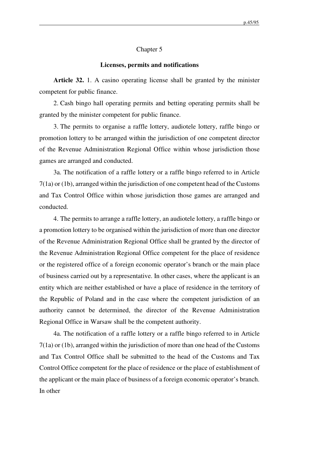#### Chapter 5

### **Licenses, permits and notifications**

**Article 32.** 1. A casino operating license shall be granted by the minister competent for public finance.

2. Cash bingo hall operating permits and betting operating permits shall be granted by the minister competent for public finance.

3. The permits to organise a raffle lottery, audiotele lottery, raffle bingo or promotion lottery to be arranged within the jurisdiction of one competent director of the Revenue Administration Regional Office within whose jurisdiction those games are arranged and conducted.

3a. The notification of a raffle lottery or a raffle bingo referred to in Article 7(1a) or (1b), arranged within the jurisdiction of one competent head of the Customs and Tax Control Office within whose jurisdiction those games are arranged and conducted.

4. The permits to arrange a raffle lottery, an audiotele lottery, a raffle bingo or a promotion lottery to be organised within the jurisdiction of more than one director of the Revenue Administration Regional Office shall be granted by the director of the Revenue Administration Regional Office competent for the place of residence or the registered office of a foreign economic operator's branch or the main place of business carried out by a representative. In other cases, where the applicant is an entity which are neither established or have a place of residence in the territory of the Republic of Poland and in the case where the competent jurisdiction of an authority cannot be determined, the director of the Revenue Administration Regional Office in Warsaw shall be the competent authority.

4a. The notification of a raffle lottery or a raffle bingo referred to in Article 7(1a) or (1b), arranged within the jurisdiction of more than one head of the Customs and Tax Control Office shall be submitted to the head of the Customs and Tax Control Office competent for the place of residence or the place of establishment of the applicant or the main place of business of a foreign economic operator's branch. In other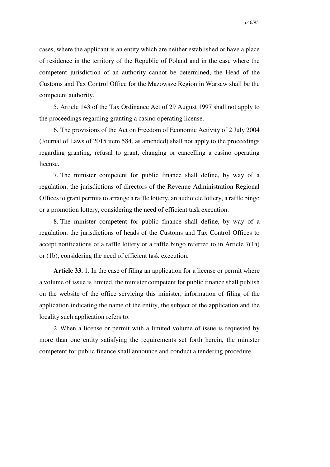cases, where the applicant is an entity which are neither established or have a place of residence in the territory of the Republic of Poland and in the case where the competent jurisdiction of an authority cannot be determined, the Head of the Customs and Tax Control Office for the Mazowsze Region in Warsaw shall be the competent authority.

5. Article 143 of the Tax Ordinance Act of 29 August 1997 shall not apply to the proceedings regarding granting a casino operating license.

6. The provisions of the Act on Freedom of Economic Activity of 2 July 2004 (Journal of Laws of 2015 item 584, as amended) shall not apply to the proceedings regarding granting, refusal to grant, changing or cancelling a casino operating license.

7. The minister competent for public finance shall define, by way of a regulation, the jurisdictions of directors of the Revenue Administration Regional Offices to grant permits to arrange a raffle lottery, an audiotele lottery, a raffle bingo or a promotion lottery, considering the need of efficient task execution.

8. The minister competent for public finance shall define, by way of a regulation, the jurisdictions of heads of the Customs and Tax Control Offices to accept notifications of a raffle lottery or a raffle bingo referred to in Article 7(1a) or (1b), considering the need of efficient task execution.

**Article 33.** 1. In the case of filing an application for a license or permit where a volume of issue is limited, the minister competent for public finance shall publish on the website of the office servicing this minister, information of filing of the application indicating the name of the entity, the subject of the application and the locality such application refers to.

2. When a license or permit with a limited volume of issue is requested by more than one entity satisfying the requirements set forth herein, the minister competent for public finance shall announce and conduct a tendering procedure.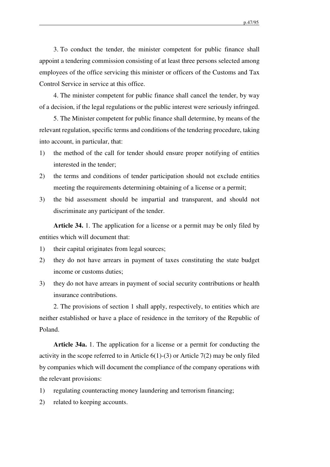3. To conduct the tender, the minister competent for public finance shall appoint a tendering commission consisting of at least three persons selected among employees of the office servicing this minister or officers of the Customs and Tax Control Service in service at this office.

4. The minister competent for public finance shall cancel the tender, by way of a decision, if the legal regulations or the public interest were seriously infringed.

5. The Minister competent for public finance shall determine, by means of the relevant regulation, specific terms and conditions of the tendering procedure, taking into account, in particular, that:

- 1) the method of the call for tender should ensure proper notifying of entities interested in the tender;
- 2) the terms and conditions of tender participation should not exclude entities meeting the requirements determining obtaining of a license or a permit;
- 3) the bid assessment should be impartial and transparent, and should not discriminate any participant of the tender.

**Article 34.** 1. The application for a license or a permit may be only filed by entities which will document that:

- 1) their capital originates from legal sources;
- 2) they do not have arrears in payment of taxes constituting the state budget income or customs duties;
- 3) they do not have arrears in payment of social security contributions or health insurance contributions.

2. The provisions of section 1 shall apply, respectively, to entities which are neither established or have a place of residence in the territory of the Republic of Poland.

**Article 34a.** 1. The application for a license or a permit for conducting the activity in the scope referred to in Article  $6(1)-(3)$  or Article  $7(2)$  may be only filed by companies which will document the compliance of the company operations with the relevant provisions:

- 1) regulating counteracting money laundering and terrorism financing;
- 2) related to keeping accounts.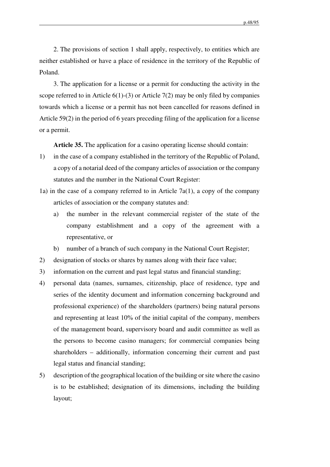2. The provisions of section 1 shall apply, respectively, to entities which are neither established or have a place of residence in the territory of the Republic of Poland.

3. The application for a license or a permit for conducting the activity in the scope referred to in Article  $6(1)$ -(3) or Article 7(2) may be only filed by companies towards which a license or a permit has not been cancelled for reasons defined in Article 59(2) in the period of 6 years preceding filing of the application for a license or a permit.

**Article 35.** The application for a casino operating license should contain:

- 1) in the case of a company established in the territory of the Republic of Poland, a copy of a notarial deed of the company articles of association or the company statutes and the number in the National Court Register:
- 1a) in the case of a company referred to in Article 7a(1), a copy of the company articles of association or the company statutes and:
	- a) the number in the relevant commercial register of the state of the company establishment and a copy of the agreement with a representative, or
	- b) number of a branch of such company in the National Court Register;
- 2) designation of stocks or shares by names along with their face value;
- 3) information on the current and past legal status and financial standing;
- 4) personal data (names, surnames, citizenship, place of residence, type and series of the identity document and information concerning background and professional experience) of the shareholders (partners) being natural persons and representing at least 10% of the initial capital of the company, members of the management board, supervisory board and audit committee as well as the persons to become casino managers; for commercial companies being shareholders – additionally, information concerning their current and past legal status and financial standing;
- 5) description of the geographical location of the building or site where the casino is to be established; designation of its dimensions, including the building layout;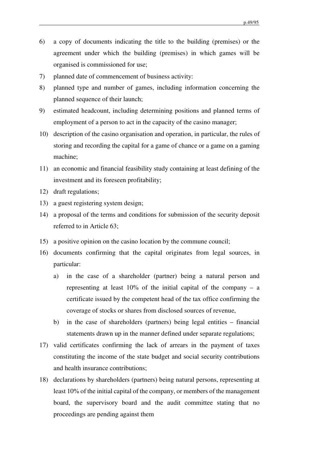- 6) a copy of documents indicating the title to the building (premises) or the agreement under which the building (premises) in which games will be organised is commissioned for use;
- 7) planned date of commencement of business activity:
- 8) planned type and number of games, including information concerning the planned sequence of their launch;
- 9) estimated headcount, including determining positions and planned terms of employment of a person to act in the capacity of the casino manager;
- 10) description of the casino organisation and operation, in particular, the rules of storing and recording the capital for a game of chance or a game on a gaming machine;
- 11) an economic and financial feasibility study containing at least defining of the investment and its foreseen profitability;
- 12) draft regulations;
- 13) a guest registering system design;
- 14) a proposal of the terms and conditions for submission of the security deposit referred to in Article 63;
- 15) a positive opinion on the casino location by the commune council;
- 16) documents confirming that the capital originates from legal sources, in particular:
	- a) in the case of a shareholder (partner) being a natural person and representing at least  $10\%$  of the initial capital of the company – a certificate issued by the competent head of the tax office confirming the coverage of stocks or shares from disclosed sources of revenue,
	- b) in the case of shareholders (partners) being legal entities financial statements drawn up in the manner defined under separate regulations;
- 17) valid certificates confirming the lack of arrears in the payment of taxes constituting the income of the state budget and social security contributions and health insurance contributions;
- 18) declarations by shareholders (partners) being natural persons, representing at least 10% of the initial capital of the company, or members of the management board, the supervisory board and the audit committee stating that no proceedings are pending against them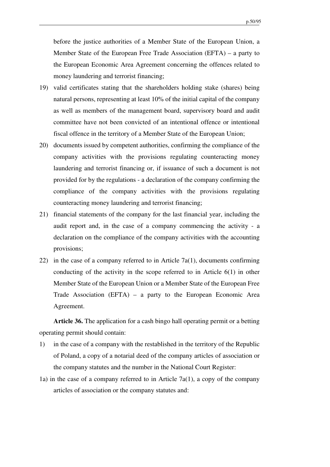before the justice authorities of a Member State of the European Union, a Member State of the European Free Trade Association (EFTA) – a party to the European Economic Area Agreement concerning the offences related to money laundering and terrorist financing;

- 19) valid certificates stating that the shareholders holding stake (shares) being natural persons, representing at least 10% of the initial capital of the company as well as members of the management board, supervisory board and audit committee have not been convicted of an intentional offence or intentional fiscal offence in the territory of a Member State of the European Union;
- 20) documents issued by competent authorities, confirming the compliance of the company activities with the provisions regulating counteracting money laundering and terrorist financing or, if issuance of such a document is not provided for by the regulations - a declaration of the company confirming the compliance of the company activities with the provisions regulating counteracting money laundering and terrorist financing;
- 21) financial statements of the company for the last financial year, including the audit report and, in the case of a company commencing the activity - a declaration on the compliance of the company activities with the accounting provisions;
- 22) in the case of a company referred to in Article 7a(1), documents confirming conducting of the activity in the scope referred to in Article 6(1) in other Member State of the European Union or a Member State of the European Free Trade Association (EFTA) – a party to the European Economic Area Agreement.

**Article 36.** The application for a cash bingo hall operating permit or a betting operating permit should contain:

- 1) in the case of a company with the restablished in the territory of the Republic of Poland, a copy of a notarial deed of the company articles of association or the company statutes and the number in the National Court Register:
- 1a) in the case of a company referred to in Article 7a(1), a copy of the company articles of association or the company statutes and: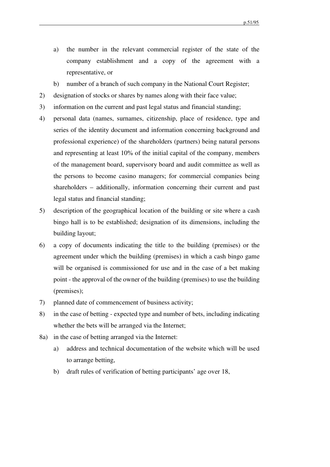- a) the number in the relevant commercial register of the state of the company establishment and a copy of the agreement with a representative, or
- b) number of a branch of such company in the National Court Register;
- 2) designation of stocks or shares by names along with their face value;
- 3) information on the current and past legal status and financial standing;
- 4) personal data (names, surnames, citizenship, place of residence, type and series of the identity document and information concerning background and professional experience) of the shareholders (partners) being natural persons and representing at least 10% of the initial capital of the company, members of the management board, supervisory board and audit committee as well as the persons to become casino managers; for commercial companies being shareholders – additionally, information concerning their current and past legal status and financial standing;
- 5) description of the geographical location of the building or site where a cash bingo hall is to be established; designation of its dimensions, including the building layout;
- 6) a copy of documents indicating the title to the building (premises) or the agreement under which the building (premises) in which a cash bingo game will be organised is commissioned for use and in the case of a bet making point - the approval of the owner of the building (premises) to use the building (premises);
- 7) planned date of commencement of business activity;
- 8) in the case of betting expected type and number of bets, including indicating whether the bets will be arranged via the Internet;
- 8a) in the case of betting arranged via the Internet:
	- a) address and technical documentation of the website which will be used to arrange betting,
	- b) draft rules of verification of betting participants' age over 18,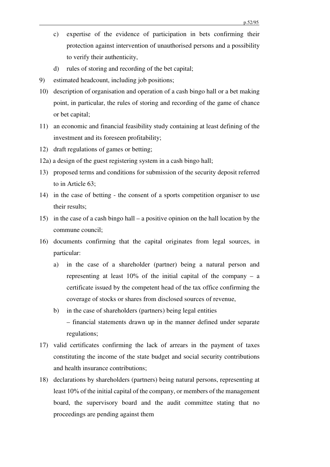- c) expertise of the evidence of participation in bets confirming their protection against intervention of unauthorised persons and a possibility to verify their authenticity,
- d) rules of storing and recording of the bet capital;
- 9) estimated headcount, including job positions;
- 10) description of organisation and operation of a cash bingo hall or a bet making point, in particular, the rules of storing and recording of the game of chance or bet capital;
- 11) an economic and financial feasibility study containing at least defining of the investment and its foreseen profitability;
- 12) draft regulations of games or betting;
- 12a) a design of the guest registering system in a cash bingo hall;
- 13) proposed terms and conditions for submission of the security deposit referred to in Article 63;
- 14) in the case of betting the consent of a sports competition organiser to use their results;
- 15) in the case of a cash bingo hall a positive opinion on the hall location by the commune council;
- 16) documents confirming that the capital originates from legal sources, in particular:
	- a) in the case of a shareholder (partner) being a natural person and representing at least  $10\%$  of the initial capital of the company – a certificate issued by the competent head of the tax office confirming the coverage of stocks or shares from disclosed sources of revenue,
	- b) in the case of shareholders (partners) being legal entities – financial statements drawn up in the manner defined under separate regulations;
- 17) valid certificates confirming the lack of arrears in the payment of taxes constituting the income of the state budget and social security contributions and health insurance contributions;
- 18) declarations by shareholders (partners) being natural persons, representing at least 10% of the initial capital of the company, or members of the management board, the supervisory board and the audit committee stating that no proceedings are pending against them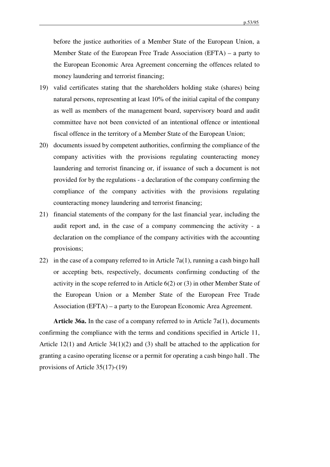before the justice authorities of a Member State of the European Union, a Member State of the European Free Trade Association (EFTA) – a party to the European Economic Area Agreement concerning the offences related to money laundering and terrorist financing;

- 19) valid certificates stating that the shareholders holding stake (shares) being natural persons, representing at least 10% of the initial capital of the company as well as members of the management board, supervisory board and audit committee have not been convicted of an intentional offence or intentional fiscal offence in the territory of a Member State of the European Union;
- 20) documents issued by competent authorities, confirming the compliance of the company activities with the provisions regulating counteracting money laundering and terrorist financing or, if issuance of such a document is not provided for by the regulations - a declaration of the company confirming the compliance of the company activities with the provisions regulating counteracting money laundering and terrorist financing;
- 21) financial statements of the company for the last financial year, including the audit report and, in the case of a company commencing the activity - a declaration on the compliance of the company activities with the accounting provisions;
- 22) in the case of a company referred to in Article 7a(1), running a cash bingo hall or accepting bets, respectively, documents confirming conducting of the activity in the scope referred to in Article 6(2) or (3) in other Member State of the European Union or a Member State of the European Free Trade Association (EFTA) – a party to the European Economic Area Agreement.

**Article 36a.** In the case of a company referred to in Article 7a(1), documents confirming the compliance with the terms and conditions specified in Article 11, Article 12(1) and Article 34(1)(2) and (3) shall be attached to the application for granting a casino operating license or a permit for operating a cash bingo hall . The provisions of Article 35(17)-(19)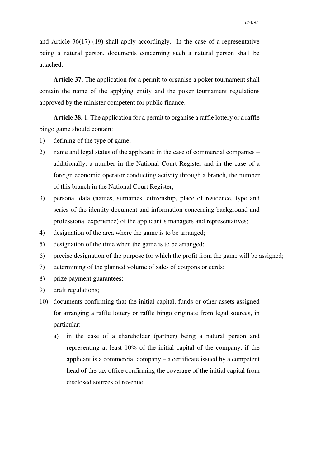and Article 36(17)-(19) shall apply accordingly. In the case of a representative being a natural person, documents concerning such a natural person shall be attached.

**Article 37.** The application for a permit to organise a poker tournament shall contain the name of the applying entity and the poker tournament regulations approved by the minister competent for public finance.

**Article 38.** 1. The application for a permit to organise a raffle lottery or a raffle bingo game should contain:

- 1) defining of the type of game;
- 2) name and legal status of the applicant; in the case of commercial companies additionally, a number in the National Court Register and in the case of a foreign economic operator conducting activity through a branch, the number of this branch in the National Court Register;
- 3) personal data (names, surnames, citizenship, place of residence, type and series of the identity document and information concerning background and professional experience) of the applicant's managers and representatives;
- 4) designation of the area where the game is to be arranged;
- 5) designation of the time when the game is to be arranged;
- 6) precise designation of the purpose for which the profit from the game will be assigned;
- 7) determining of the planned volume of sales of coupons or cards;
- 8) prize payment guarantees;
- 9) draft regulations;
- 10) documents confirming that the initial capital, funds or other assets assigned for arranging a raffle lottery or raffle bingo originate from legal sources, in particular:
	- a) in the case of a shareholder (partner) being a natural person and representing at least 10% of the initial capital of the company, if the applicant is a commercial company – a certificate issued by a competent head of the tax office confirming the coverage of the initial capital from disclosed sources of revenue,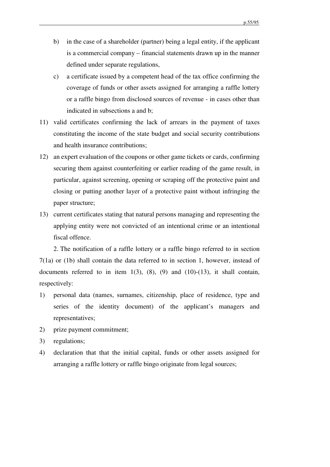- b) in the case of a shareholder (partner) being a legal entity, if the applicant is a commercial company – financial statements drawn up in the manner defined under separate regulations,
- c) a certificate issued by a competent head of the tax office confirming the coverage of funds or other assets assigned for arranging a raffle lottery or a raffle bingo from disclosed sources of revenue - in cases other than indicated in subsections a and b;
- 11) valid certificates confirming the lack of arrears in the payment of taxes constituting the income of the state budget and social security contributions and health insurance contributions;
- 12) an expert evaluation of the coupons or other game tickets or cards, confirming securing them against counterfeiting or earlier reading of the game result, in particular, against screening, opening or scraping off the protective paint and closing or putting another layer of a protective paint without infringing the paper structure;
- 13) current certificates stating that natural persons managing and representing the applying entity were not convicted of an intentional crime or an intentional fiscal offence.

2. The notification of a raffle lottery or a raffle bingo referred to in section 7(1a) or (1b) shall contain the data referred to in section 1, however, instead of documents referred to in item  $1(3)$ ,  $(8)$ ,  $(9)$  and  $(10)-(13)$ , it shall contain, respectively:

- 1) personal data (names, surnames, citizenship, place of residence, type and series of the identity document) of the applicant's managers and representatives;
- 2) prize payment commitment;
- 3) regulations;
- 4) declaration that that the initial capital, funds or other assets assigned for arranging a raffle lottery or raffle bingo originate from legal sources;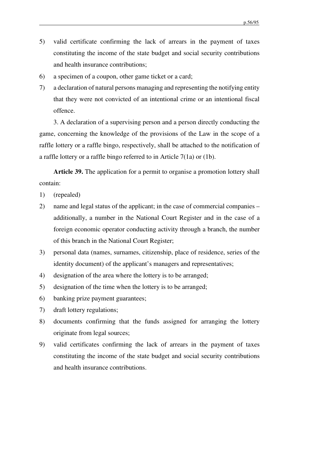- 5) valid certificate confirming the lack of arrears in the payment of taxes constituting the income of the state budget and social security contributions and health insurance contributions;
- 6) a specimen of a coupon, other game ticket or a card;
- 7) a declaration of natural persons managing and representing the notifying entity that they were not convicted of an intentional crime or an intentional fiscal offence.

3. A declaration of a supervising person and a person directly conducting the game, concerning the knowledge of the provisions of the Law in the scope of a raffle lottery or a raffle bingo, respectively, shall be attached to the notification of a raffle lottery or a raffle bingo referred to in Article 7(1a) or (1b).

**Article 39.** The application for a permit to organise a promotion lottery shall contain:

- 1) (repealed)
- 2) name and legal status of the applicant; in the case of commercial companies additionally, a number in the National Court Register and in the case of a foreign economic operator conducting activity through a branch, the number of this branch in the National Court Register;
- 3) personal data (names, surnames, citizenship, place of residence, series of the identity document) of the applicant's managers and representatives;
- 4) designation of the area where the lottery is to be arranged;
- 5) designation of the time when the lottery is to be arranged;
- 6) banking prize payment guarantees;
- 7) draft lottery regulations;
- 8) documents confirming that the funds assigned for arranging the lottery originate from legal sources;
- 9) valid certificates confirming the lack of arrears in the payment of taxes constituting the income of the state budget and social security contributions and health insurance contributions.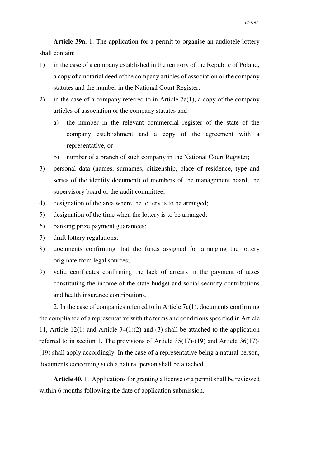**Article 39a.** 1. The application for a permit to organise an audiotele lottery shall contain:

- 1) in the case of a company established in the territory of the Republic of Poland, a copy of a notarial deed of the company articles of association or the company statutes and the number in the National Court Register:
- 2) in the case of a company referred to in Article 7a(1), a copy of the company articles of association or the company statutes and:
	- a) the number in the relevant commercial register of the state of the company establishment and a copy of the agreement with a representative, or
	- b) number of a branch of such company in the National Court Register;
- 3) personal data (names, surnames, citizenship, place of residence, type and series of the identity document) of members of the management board, the supervisory board or the audit committee;
- 4) designation of the area where the lottery is to be arranged;
- 5) designation of the time when the lottery is to be arranged;
- 6) banking prize payment guarantees;
- 7) draft lottery regulations;
- 8) documents confirming that the funds assigned for arranging the lottery originate from legal sources;
- 9) valid certificates confirming the lack of arrears in the payment of taxes constituting the income of the state budget and social security contributions and health insurance contributions.

2. In the case of companies referred to in Article 7a(1), documents confirming the compliance of a representative with the terms and conditions specified in Article 11, Article 12(1) and Article 34(1)(2) and (3) shall be attached to the application referred to in section 1. The provisions of Article 35(17)-(19) and Article 36(17)- (19) shall apply accordingly. In the case of a representative being a natural person, documents concerning such a natural person shall be attached.

**Article 40.** 1. Applications for granting a license or a permit shall be reviewed within 6 months following the date of application submission.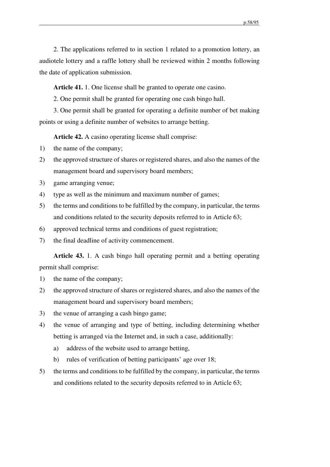2. The applications referred to in section 1 related to a promotion lottery, an audiotele lottery and a raffle lottery shall be reviewed within 2 months following the date of application submission.

**Article 41.** 1. One license shall be granted to operate one casino.

2. One permit shall be granted for operating one cash bingo hall.

3. One permit shall be granted for operating a definite number of bet making points or using a definite number of websites to arrange betting.

**Article 42.** A casino operating license shall comprise:

- 1) the name of the company;
- 2) the approved structure of shares or registered shares, and also the names of the management board and supervisory board members;
- 3) game arranging venue;
- 4) type as well as the minimum and maximum number of games;
- 5) the terms and conditions to be fulfilled by the company, in particular, the terms and conditions related to the security deposits referred to in Article 63;
- 6) approved technical terms and conditions of guest registration;
- 7) the final deadline of activity commencement.

**Article 43.** 1. A cash bingo hall operating permit and a betting operating permit shall comprise:

- 1) the name of the company;
- 2) the approved structure of shares or registered shares, and also the names of the management board and supervisory board members;
- 3) the venue of arranging a cash bingo game;
- 4) the venue of arranging and type of betting, including determining whether betting is arranged via the Internet and, in such a case, additionally:
	- a) address of the website used to arrange betting,
	- b) rules of verification of betting participants' age over 18;
- 5) the terms and conditions to be fulfilled by the company, in particular, the terms and conditions related to the security deposits referred to in Article 63;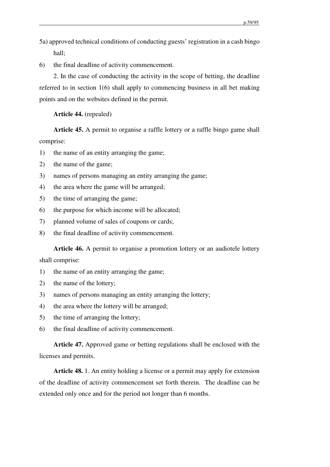- 5a) approved technical conditions of conducting guests' registration in a cash bingo hall;
- 6) the final deadline of activity commencement.

2. In the case of conducting the activity in the scope of betting, the deadline referred to in section 1(6) shall apply to commencing business in all bet making points and on the websites defined in the permit.

**Article 44.** (repealed)

**Article 45.** A permit to organise a raffle lottery or a raffle bingo game shall comprise:

- 1) the name of an entity arranging the game;
- 2) the name of the game;
- 3) names of persons managing an entity arranging the game;
- 4) the area where the game will be arranged;
- 5) the time of arranging the game;
- 6) the purpose for which income will be allocated;
- 7) planned volume of sales of coupons or cards;
- 8) the final deadline of activity commencement.

**Article 46.** A permit to organise a promotion lottery or an audiotele lottery shall comprise:

- 1) the name of an entity arranging the game;
- 2) the name of the lottery;
- 3) names of persons managing an entity arranging the lottery;
- 4) the area where the lottery will be arranged;
- 5) the time of arranging the lottery;
- 6) the final deadline of activity commencement.

**Article 47.** Approved game or betting regulations shall be enclosed with the licenses and permits.

**Article 48.** 1. An entity holding a license or a permit may apply for extension of the deadline of activity commencement set forth therein. The deadline can be extended only once and for the period not longer than 6 months.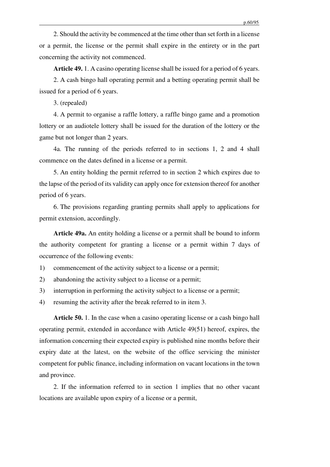2. Should the activity be commenced at the time other than set forth in a license or a permit, the license or the permit shall expire in the entirety or in the part concerning the activity not commenced.

**Article 49.** 1. A casino operating license shall be issued for a period of 6 years.

2. A cash bingo hall operating permit and a betting operating permit shall be issued for a period of 6 years.

3. (repealed)

4. A permit to organise a raffle lottery, a raffle bingo game and a promotion lottery or an audiotele lottery shall be issued for the duration of the lottery or the game but not longer than 2 years.

4a. The running of the periods referred to in sections 1, 2 and 4 shall commence on the dates defined in a license or a permit.

5. An entity holding the permit referred to in section 2 which expires due to the lapse of the period of its validity can apply once for extension thereof for another period of 6 years.

6. The provisions regarding granting permits shall apply to applications for permit extension, accordingly.

**Article 49a.** An entity holding a license or a permit shall be bound to inform the authority competent for granting a license or a permit within 7 days of occurrence of the following events:

1) commencement of the activity subject to a license or a permit;

- 2) abandoning the activity subject to a license or a permit;
- 3) interruption in performing the activity subject to a license or a permit;
- 4) resuming the activity after the break referred to in item 3.

**Article 50.** 1. In the case when a casino operating license or a cash bingo hall operating permit, extended in accordance with Article 49(51) hereof, expires, the information concerning their expected expiry is published nine months before their expiry date at the latest, on the website of the office servicing the minister competent for public finance, including information on vacant locations in the town and province.

2. If the information referred to in section 1 implies that no other vacant locations are available upon expiry of a license or a permit,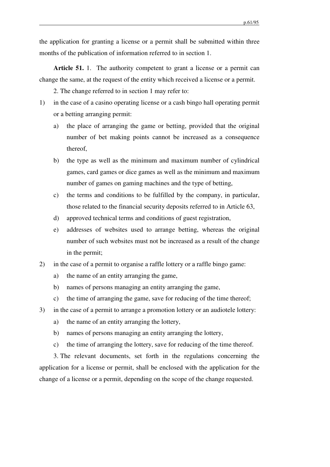the application for granting a license or a permit shall be submitted within three months of the publication of information referred to in section 1.

**Article 51.** 1. The authority competent to grant a license or a permit can change the same, at the request of the entity which received a license or a permit.

2. The change referred to in section 1 may refer to:

- 1) in the case of a casino operating license or a cash bingo hall operating permit or a betting arranging permit:
	- a) the place of arranging the game or betting, provided that the original number of bet making points cannot be increased as a consequence thereof,
	- b) the type as well as the minimum and maximum number of cylindrical games, card games or dice games as well as the minimum and maximum number of games on gaming machines and the type of betting,
	- c) the terms and conditions to be fulfilled by the company, in particular, those related to the financial security deposits referred to in Article 63,
	- d) approved technical terms and conditions of guest registration,
	- e) addresses of websites used to arrange betting, whereas the original number of such websites must not be increased as a result of the change in the permit;
- 2) in the case of a permit to organise a raffle lottery or a raffle bingo game:
	- a) the name of an entity arranging the game,
	- b) names of persons managing an entity arranging the game,
	- c) the time of arranging the game, save for reducing of the time thereof;
- 3) in the case of a permit to arrange a promotion lottery or an audiotele lottery:
	- a) the name of an entity arranging the lottery,
	- b) names of persons managing an entity arranging the lottery,
	- c) the time of arranging the lottery, save for reducing of the time thereof.

3. The relevant documents, set forth in the regulations concerning the application for a license or permit, shall be enclosed with the application for the change of a license or a permit, depending on the scope of the change requested.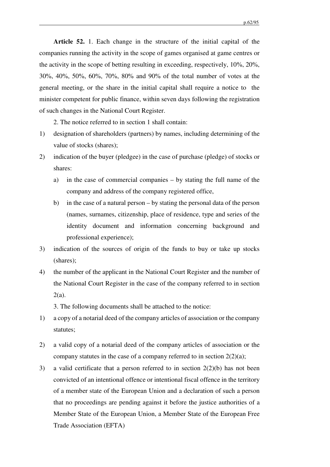**Article 52.** 1. Each change in the structure of the initial capital of the companies running the activity in the scope of games organised at game centres or the activity in the scope of betting resulting in exceeding, respectively, 10%, 20%, 30%, 40%, 50%, 60%, 70%, 80% and 90% of the total number of votes at the general meeting, or the share in the initial capital shall require a notice to the minister competent for public finance, within seven days following the registration of such changes in the National Court Register.

2. The notice referred to in section 1 shall contain:

- 1) designation of shareholders (partners) by names, including determining of the value of stocks (shares);
- 2) indication of the buyer (pledgee) in the case of purchase (pledge) of stocks or shares:
	- a) in the case of commercial companies by stating the full name of the company and address of the company registered office,
	- b) in the case of a natural person by stating the personal data of the person (names, surnames, citizenship, place of residence, type and series of the identity document and information concerning background and professional experience);
- 3) indication of the sources of origin of the funds to buy or take up stocks (shares);
- 4) the number of the applicant in the National Court Register and the number of the National Court Register in the case of the company referred to in section 2(a).

3. The following documents shall be attached to the notice:

- 1) a copy of a notarial deed of the company articles of association or the company statutes;
- 2) a valid copy of a notarial deed of the company articles of association or the company statutes in the case of a company referred to in section  $2(2)(a)$ ;
- 3) a valid certificate that a person referred to in section 2(2)(b) has not been convicted of an intentional offence or intentional fiscal offence in the territory of a member state of the European Union and a declaration of such a person that no proceedings are pending against it before the justice authorities of a Member State of the European Union, a Member State of the European Free Trade Association (EFTA)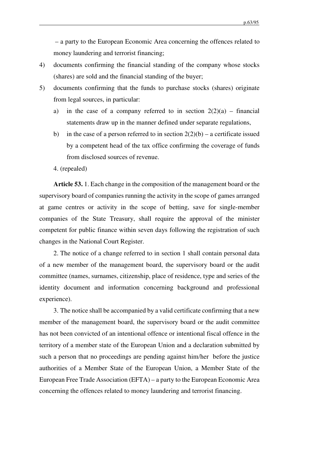– a party to the European Economic Area concerning the offences related to money laundering and terrorist financing;

- 4) documents confirming the financial standing of the company whose stocks (shares) are sold and the financial standing of the buyer;
- 5) documents confirming that the funds to purchase stocks (shares) originate from legal sources, in particular:
	- a) in the case of a company referred to in section  $2(2)(a)$  financial statements draw up in the manner defined under separate regulations,
	- b) in the case of a person referred to in section  $2(2)(b)$  a certificate issued by a competent head of the tax office confirming the coverage of funds from disclosed sources of revenue.

4. (repealed)

**Article 53.** 1. Each change in the composition of the management board or the supervisory board of companies running the activity in the scope of games arranged at game centres or activity in the scope of betting, save for single-member companies of the State Treasury, shall require the approval of the minister competent for public finance within seven days following the registration of such changes in the National Court Register.

2. The notice of a change referred to in section 1 shall contain personal data of a new member of the management board, the supervisory board or the audit committee (names, surnames, citizenship, place of residence, type and series of the identity document and information concerning background and professional experience).

3. The notice shall be accompanied by a valid certificate confirming that a new member of the management board, the supervisory board or the audit committee has not been convicted of an intentional offence or intentional fiscal offence in the territory of a member state of the European Union and a declaration submitted by such a person that no proceedings are pending against him/her before the justice authorities of a Member State of the European Union, a Member State of the European Free Trade Association (EFTA) – a party to the European Economic Area concerning the offences related to money laundering and terrorist financing.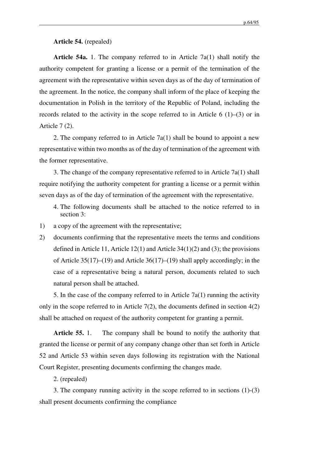**Article 54.** (repealed)

**Article 54a.** 1. The company referred to in Article 7a(1) shall notify the authority competent for granting a license or a permit of the termination of the agreement with the representative within seven days as of the day of termination of the agreement. In the notice, the company shall inform of the place of keeping the documentation in Polish in the territory of the Republic of Poland, including the records related to the activity in the scope referred to in Article 6 (1)–(3) or in Article 7 (2).

2. The company referred to in Article  $7a(1)$  shall be bound to appoint a new representative within two months as of the day of termination of the agreement with the former representative.

3. The change of the company representative referred to in Article 7a(1) shall require notifying the authority competent for granting a license or a permit within seven days as of the day of termination of the agreement with the representative.

- 4. The following documents shall be attached to the notice referred to in section 3:
- 1) a copy of the agreement with the representative;
- 2) documents confirming that the representative meets the terms and conditions defined in Article 11, Article 12(1) and Article 34(1)(2) and (3); the provisions of Article 35(17)–(19) and Article 36(17)–(19) shall apply accordingly; in the case of a representative being a natural person, documents related to such natural person shall be attached.

5. In the case of the company referred to in Article  $7a(1)$  running the activity only in the scope referred to in Article  $7(2)$ , the documents defined in section  $4(2)$ shall be attached on request of the authority competent for granting a permit.

**Article 55.** 1. The company shall be bound to notify the authority that granted the license or permit of any company change other than set forth in Article 52 and Article 53 within seven days following its registration with the National Court Register, presenting documents confirming the changes made.

2. (repealed)

3. The company running activity in the scope referred to in sections (1)-(3) shall present documents confirming the compliance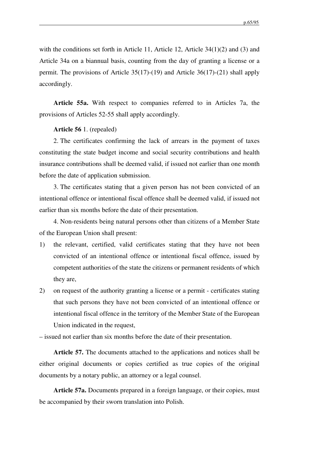with the conditions set forth in Article 11, Article 12, Article 34(1)(2) and (3) and Article 34a on a biannual basis, counting from the day of granting a license or a permit. The provisions of Article 35(17)-(19) and Article 36(17)-(21) shall apply accordingly.

**Article 55a.** With respect to companies referred to in Articles 7a, the provisions of Articles 52-55 shall apply accordingly.

**Article 56** 1. (repealed)

2. The certificates confirming the lack of arrears in the payment of taxes constituting the state budget income and social security contributions and health insurance contributions shall be deemed valid, if issued not earlier than one month before the date of application submission.

3. The certificates stating that a given person has not been convicted of an intentional offence or intentional fiscal offence shall be deemed valid, if issued not earlier than six months before the date of their presentation.

4. Non-residents being natural persons other than citizens of a Member State of the European Union shall present:

- 1) the relevant, certified, valid certificates stating that they have not been convicted of an intentional offence or intentional fiscal offence, issued by competent authorities of the state the citizens or permanent residents of which they are,
- 2) on request of the authority granting a license or a permit certificates stating that such persons they have not been convicted of an intentional offence or intentional fiscal offence in the territory of the Member State of the European Union indicated in the request,

– issued not earlier than six months before the date of their presentation.

**Article 57.** The documents attached to the applications and notices shall be either original documents or copies certified as true copies of the original documents by a notary public, an attorney or a legal counsel.

**Article 57a.** Documents prepared in a foreign language, or their copies, must be accompanied by their sworn translation into Polish.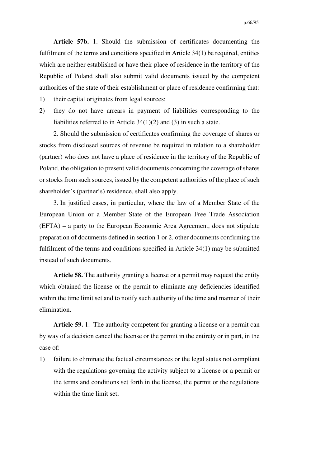**Article 57b.** 1. Should the submission of certificates documenting the fulfilment of the terms and conditions specified in Article 34(1) be required, entities which are neither established or have their place of residence in the territory of the Republic of Poland shall also submit valid documents issued by the competent authorities of the state of their establishment or place of residence confirming that:

- 1) their capital originates from legal sources;
- 2) they do not have arrears in payment of liabilities corresponding to the liabilities referred to in Article 34(1)(2) and (3) in such a state.

2. Should the submission of certificates confirming the coverage of shares or stocks from disclosed sources of revenue be required in relation to a shareholder (partner) who does not have a place of residence in the territory of the Republic of Poland, the obligation to present valid documents concerning the coverage of shares or stocks from such sources, issued by the competent authorities of the place of such shareholder's (partner's) residence, shall also apply.

3. In justified cases, in particular, where the law of a Member State of the European Union or a Member State of the European Free Trade Association (EFTA) – a party to the European Economic Area Agreement, does not stipulate preparation of documents defined in section 1 or 2, other documents confirming the fulfilment of the terms and conditions specified in Article 34(1) may be submitted instead of such documents.

**Article 58.** The authority granting a license or a permit may request the entity which obtained the license or the permit to eliminate any deficiencies identified within the time limit set and to notify such authority of the time and manner of their elimination.

**Article 59.** 1. The authority competent for granting a license or a permit can by way of a decision cancel the license or the permit in the entirety or in part, in the case of:

1) failure to eliminate the factual circumstances or the legal status not compliant with the regulations governing the activity subject to a license or a permit or the terms and conditions set forth in the license, the permit or the regulations within the time limit set;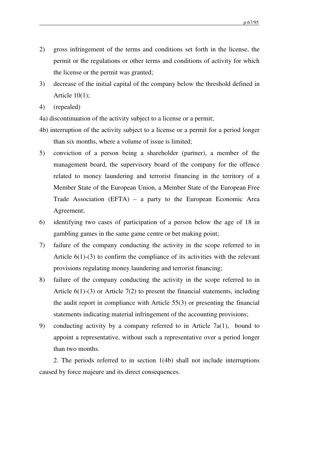- 2) gross infringement of the terms and conditions set forth in the license, the permit or the regulations or other terms and conditions of activity for which the license or the permit was granted;
- 3) decrease of the initial capital of the company below the threshold defined in Article 10(1);
- 4) (repealed)
- 4a) discontinuation of the activity subject to a license or a permit;
- 4b) interruption of the activity subject to a license or a permit for a period longer than six months, where a volume of issue is limited;
- 5) conviction of a person being a shareholder (partner), a member of the management board, the supervisory board of the company for the offence related to money laundering and terrorist financing in the territory of a Member State of the European Union, a Member State of the European Free Trade Association (EFTA) – a party to the European Economic Area Agreement;
- 6) identifying two cases of participation of a person below the age of 18 in gambling games in the same game centre or bet making point;
- 7) failure of the company conducting the activity in the scope referred to in Article 6(1)-(3) to confirm the compliance of its activities with the relevant provisions regulating money laundering and terrorist financing;
- 8) failure of the company conducting the activity in the scope referred to in Article  $6(1)$ -(3) or Article 7(2) to present the financial statements, including the audit report in compliance with Article 55(3) or presenting the financial statements indicating material infringement of the accounting provisions;
- 9) conducting activity by a company referred to in Article 7a(1), bound to appoint a representative, without such a representative over a period longer than two months.

2. The periods referred to in section 1(4b) shall not include interruptions caused by force majeure and its direct consequences.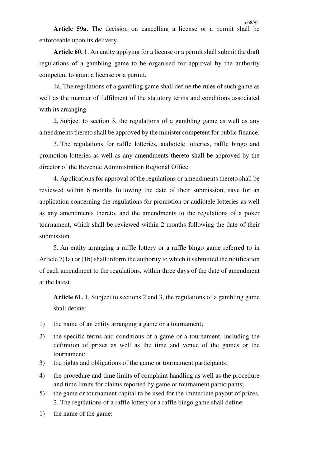**Article 59a.** The decision on cancelling a license or a permit shall be enforceable upon its delivery.

**Article 60.** 1. An entity applying for a license or a permit shall submit the draft regulations of a gambling game to be organised for approval by the authority competent to grant a license or a permit.

1a. The regulations of a gambling game shall define the rules of such game as well as the manner of fulfilment of the statutory terms and conditions associated with its arranging.

2. Subject to section 3, the regulations of a gambling game as well as any amendments thereto shall be approved by the minister competent for public finance.

3. The regulations for raffle lotteries, audiotele lotteries, raffle bingo and promotion lotteries as well as any amendments thereto shall be approved by the director of the Revenue Administration Regional Office.

4. Applications for approval of the regulations or amendments thereto shall be reviewed within 6 months following the date of their submission, save for an application concerning the regulations for promotion or audiotele lotteries as well as any amendments thereto, and the amendments to the regulations of a poker tournament, which shall be reviewed within 2 months following the date of their submission.

5. An entity arranging a raffle lottery or a raffle bingo game referred to in Article 7(1a) or (1b) shall inform the authority to which it submitted the notification of each amendment to the regulations, within three days of the date of amendment at the latest.

**Article 61.** 1. Subject to sections 2 and 3, the regulations of a gambling game shall define:

- 1) the name of an entity arranging a game or a tournament;
- 2) the specific terms and conditions of a game or a tournament, including the definition of prizes as well as the time and venue of the games or the tournament;
- 3) the rights and obligations of the game or tournament participants;
- 4) the procedure and time limits of complaint handling as well as the procedure and time limits for claims reported by game or tournament participants;
- 5) the game or tournament capital to be used for the immediate payout of prizes. 2. The regulations of a raffle lottery or a raffle bingo game shall define:
- 1) the name of the game;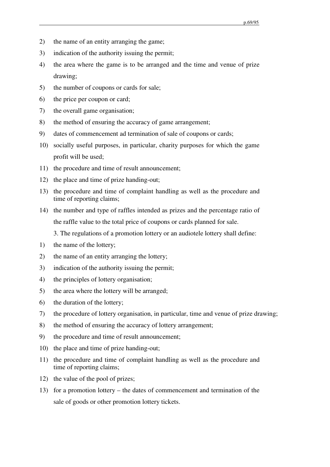- 2) the name of an entity arranging the game;
- 3) indication of the authority issuing the permit;
- 4) the area where the game is to be arranged and the time and venue of prize drawing;
- 5) the number of coupons or cards for sale;
- 6) the price per coupon or card;
- 7) the overall game organisation;
- 8) the method of ensuring the accuracy of game arrangement;
- 9) dates of commencement ad termination of sale of coupons or cards;
- 10) socially useful purposes, in particular, charity purposes for which the game profit will be used;
- 11) the procedure and time of result announcement;
- 12) the place and time of prize handing-out;
- 13) the procedure and time of complaint handling as well as the procedure and time of reporting claims;
- 14) the number and type of raffles intended as prizes and the percentage ratio of the raffle value to the total price of coupons or cards planned for sale.

3. The regulations of a promotion lottery or an audiotele lottery shall define:

- 1) the name of the lottery;
- 2) the name of an entity arranging the lottery;
- 3) indication of the authority issuing the permit;
- 4) the principles of lottery organisation;
- 5) the area where the lottery will be arranged;
- 6) the duration of the lottery;
- 7) the procedure of lottery organisation, in particular, time and venue of prize drawing;
- 8) the method of ensuring the accuracy of lottery arrangement;
- 9) the procedure and time of result announcement;
- 10) the place and time of prize handing-out;
- 11) the procedure and time of complaint handling as well as the procedure and time of reporting claims;
- 12) the value of the pool of prizes;
- 13) for a promotion lottery the dates of commencement and termination of the sale of goods or other promotion lottery tickets.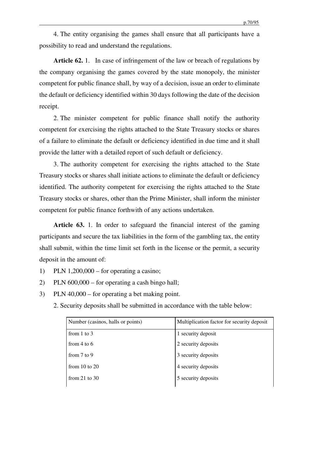4. The entity organising the games shall ensure that all participants have a possibility to read and understand the regulations.

**Article 62.** 1. In case of infringement of the law or breach of regulations by the company organising the games covered by the state monopoly, the minister competent for public finance shall, by way of a decision, issue an order to eliminate the default or deficiency identified within 30 days following the date of the decision receipt.

2. The minister competent for public finance shall notify the authority competent for exercising the rights attached to the State Treasury stocks or shares of a failure to eliminate the default or deficiency identified in due time and it shall provide the latter with a detailed report of such default or deficiency.

3. The authority competent for exercising the rights attached to the State Treasury stocks or shares shall initiate actions to eliminate the default or deficiency identified. The authority competent for exercising the rights attached to the State Treasury stocks or shares, other than the Prime Minister, shall inform the minister competent for public finance forthwith of any actions undertaken.

**Article 63.** 1. In order to safeguard the financial interest of the gaming participants and secure the tax liabilities in the form of the gambling tax, the entity shall submit, within the time limit set forth in the license or the permit, a security deposit in the amount of:

- 1) PLN  $1,200,000$  for operating a casino;
- 2) PLN 600,000 for operating a cash bingo hall;
- 3) PLN 40,000 for operating a bet making point.
	- 2. Security deposits shall be submitted in accordance with the table below:

| Number (casinos, halls or points) | Multiplication factor for security deposit |
|-----------------------------------|--------------------------------------------|
| from $1$ to $3$                   | 1 security deposit                         |
| from $4$ to $6$                   | 2 security deposits                        |
| from $7$ to $9$                   | 3 security deposits                        |
| from $10$ to $20$                 | 4 security deposits                        |
| from 21 to $30$                   | 5 security deposits                        |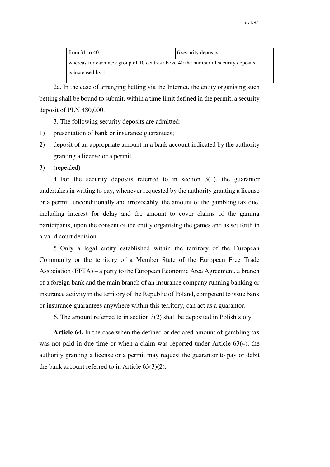from 31 to 40  $\,$  6 security deposits whereas for each new group of 10 centres above 40 the number of security deposits is increased by 1.

2a. In the case of arranging betting via the Internet, the entity organising such betting shall be bound to submit, within a time limit defined in the permit, a security deposit of PLN 480,000.

3. The following security deposits are admitted:

- 1) presentation of bank or insurance guarantees;
- 2) deposit of an appropriate amount in a bank account indicated by the authority granting a license or a permit.
- 3) (repealed)

4. For the security deposits referred to in section 3(1), the guarantor undertakes in writing to pay, whenever requested by the authority granting a license or a permit, unconditionally and irrevocably, the amount of the gambling tax due, including interest for delay and the amount to cover claims of the gaming participants, upon the consent of the entity organising the games and as set forth in a valid court decision.

5. Only a legal entity established within the territory of the European Community or the territory of a Member State of the European Free Trade Association (EFTA) – a party to the European Economic Area Agreement, a branch of a foreign bank and the main branch of an insurance company running banking or insurance activity in the territory of the Republic of Poland, competent to issue bank or insurance guarantees anywhere within this territory, can act as a guarantor.

6. The amount referred to in section 3(2) shall be deposited in Polish zloty.

**Article 64.** In the case when the defined or declared amount of gambling tax was not paid in due time or when a claim was reported under Article 63(4), the authority granting a license or a permit may request the guarantor to pay or debit the bank account referred to in Article 63(3)(2).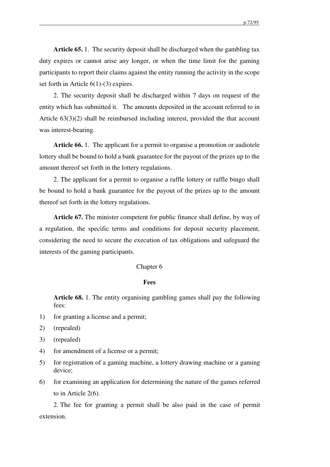**Article 65.** 1. The security deposit shall be discharged when the gambling tax duty expires or cannot arise any longer, or when the time limit for the gaming participants to report their claims against the entity running the activity in the scope set forth in Article 6(1)-(3) expires.

2. The security deposit shall be discharged within 7 days on request of the entity which has submitted it. The amounts deposited in the account referred to in Article 63(3)(2) shall be reimbursed including interest, provided the that account was interest-bearing.

**Article 66.** 1. The applicant for a permit to organise a promotion or audiotele lottery shall be bound to hold a bank guarantee for the payout of the prizes up to the amount thereof set forth in the lottery regulations.

2. The applicant for a permit to organise a raffle lottery or raffle bingo shall be bound to hold a bank guarantee for the payout of the prizes up to the amount thereof set forth in the lottery regulations.

**Article 67.** The minister competent for public finance shall define, by way of a regulation, the specific terms and conditions for deposit security placement, considering the need to secure the execution of tax obligations and safeguard the interests of the gaming participants.

#### Chapter 6

#### **Fees**

**Article 68.** 1. The entity organising gambling games shall pay the following fees:

- 1) for granting a license and a permit;
- 2) (repealed)
- 3) (repealed)
- 4) for amendment of a license or a permit;
- 5) for registration of a gaming machine, a lottery drawing machine or a gaming device;
- 6) for examining an application for determining the nature of the games referred to in Article 2(6).

2. The fee for granting a permit shall be also paid in the case of permit extension.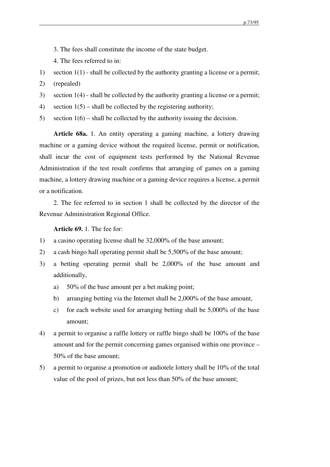3. The fees shall constitute the income of the state budget.

4. The fees referred to in:

- 1) section 1(1) shall be collected by the authority granting a license or a permit;
- 2) (repealed)
- 3) section 1(4) shall be collected by the authority granting a license or a permit;
- 4) section  $1(5)$  shall be collected by the registering authority;
- 5) section  $1(6)$  shall be collected by the authority issuing the decision.

**Article 68a.** 1. An entity operating a gaming machine, a lottery drawing machine or a gaming device without the required license, permit or notification, shall incur the cost of equipment tests performed by the National Revenue Administration if the test result confirms that arranging of games on a gaming machine, a lottery drawing machine or a gaming device requires a license, a permit or a notification.

2. The fee referred to in section 1 shall be collected by the director of the Revenue Administration Regional Office.

## **Article 69.** 1. The fee for:

- 1) a casino operating license shall be 32,000% of the base amount;
- 2) a cash bingo hall operating permit shall be 5,500% of the base amount;
- 3) a betting operating permit shall be 2,000% of the base amount and additionally,
	- a) 50% of the base amount per a bet making point;
	- b) arranging betting via the Internet shall be 2,000% of the base amount,
	- c) for each website used for arranging betting shall be 5,000% of the base amount;
- 4) a permit to organise a raffle lottery or raffle bingo shall be 100% of the base amount and for the permit concerning games organised within one province – 50% of the base amount;
- 5) a permit to organise a promotion or audiotele lottery shall be 10% of the total value of the pool of prizes, but not less than 50% of the base amount;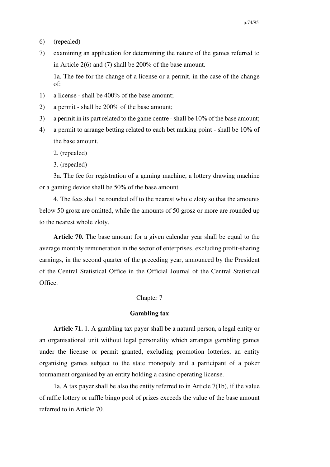- 6) (repealed)
- 7) examining an application for determining the nature of the games referred to in Article 2(6) and (7) shall be 200% of the base amount.

1a. The fee for the change of a license or a permit, in the case of the change of:

- 1) a license shall be 400% of the base amount;
- 2) a permit shall be 200% of the base amount;
- 3) a permit in its part related to the game centre shall be 10% of the base amount;
- 4) a permit to arrange betting related to each bet making point shall be 10% of the base amount.
	- 2. (repealed)
	- 3. (repealed)

3a. The fee for registration of a gaming machine, a lottery drawing machine or a gaming device shall be 50% of the base amount.

4. The fees shall be rounded off to the nearest whole zloty so that the amounts below 50 grosz are omitted, while the amounts of 50 grosz or more are rounded up to the nearest whole zloty.

**Article 70.** The base amount for a given calendar year shall be equal to the average monthly remuneration in the sector of enterprises, excluding profit-sharing earnings, in the second quarter of the preceding year, announced by the President of the Central Statistical Office in the Official Journal of the Central Statistical Office.

### Chapter 7

## **Gambling tax**

**Article 71.** 1. A gambling tax payer shall be a natural person, a legal entity or an organisational unit without legal personality which arranges gambling games under the license or permit granted, excluding promotion lotteries, an entity organising games subject to the state monopoly and a participant of a poker tournament organised by an entity holding a casino operating license.

1a. A tax payer shall be also the entity referred to in Article 7(1b), if the value of raffle lottery or raffle bingo pool of prizes exceeds the value of the base amount referred to in Article 70.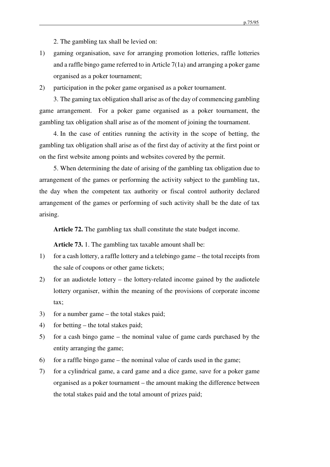2. The gambling tax shall be levied on:

- 1) gaming organisation, save for arranging promotion lotteries, raffle lotteries and a raffle bingo game referred to in Article 7(1a) and arranging a poker game organised as a poker tournament;
- 2) participation in the poker game organised as a poker tournament.

3. The gaming tax obligation shall arise as of the day of commencing gambling game arrangement. For a poker game organised as a poker tournament, the gambling tax obligation shall arise as of the moment of joining the tournament.

4. In the case of entities running the activity in the scope of betting, the gambling tax obligation shall arise as of the first day of activity at the first point or on the first website among points and websites covered by the permit.

5. When determining the date of arising of the gambling tax obligation due to arrangement of the games or performing the activity subject to the gambling tax, the day when the competent tax authority or fiscal control authority declared arrangement of the games or performing of such activity shall be the date of tax arising.

**Article 72.** The gambling tax shall constitute the state budget income.

**Article 73.** 1. The gambling tax taxable amount shall be:

- 1) for a cash lottery, a raffle lottery and a telebingo game the total receipts from the sale of coupons or other game tickets;
- 2) for an audiotele lottery the lottery-related income gained by the audiotele lottery organiser, within the meaning of the provisions of corporate income tax;
- 3) for a number game the total stakes paid;
- 4) for betting the total stakes paid;
- 5) for a cash bingo game the nominal value of game cards purchased by the entity arranging the game;
- 6) for a raffle bingo game the nominal value of cards used in the game;
- 7) for a cylindrical game, a card game and a dice game, save for a poker game organised as a poker tournament – the amount making the difference between the total stakes paid and the total amount of prizes paid;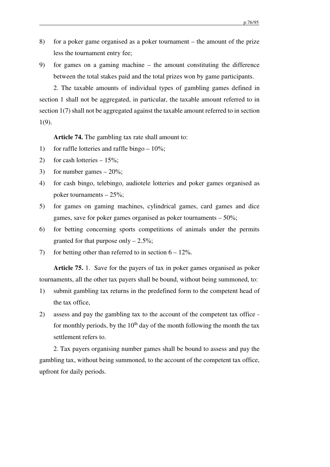- 8) for a poker game organised as a poker tournament the amount of the prize less the tournament entry fee;
- 9) for games on a gaming machine the amount constituting the difference between the total stakes paid and the total prizes won by game participants.

2. The taxable amounts of individual types of gambling games defined in section 1 shall not be aggregated, in particular, the taxable amount referred to in section 1(7) shall not be aggregated against the taxable amount referred to in section 1(9).

**Article 74.** The gambling tax rate shall amount to:

- 1) for raffle lotteries and raffle bingo  $-10\%$ ;
- 2) for cash lotteries  $-15\%$ ;
- 3) for number games  $-20\%$ ;
- 4) for cash bingo, telebingo, audiotele lotteries and poker games organised as poker tournaments – 25%;
- 5) for games on gaming machines, cylindrical games, card games and dice games, save for poker games organised as poker tournaments – 50%;
- 6) for betting concerning sports competitions of animals under the permits granted for that purpose only  $-2.5\%$ ;
- 7) for betting other than referred to in section  $6 12\%$ .

**Article 75.** 1. Save for the payers of tax in poker games organised as poker tournaments, all the other tax payers shall be bound, without being summoned, to:

- 1) submit gambling tax returns in the predefined form to the competent head of the tax office,
- 2) assess and pay the gambling tax to the account of the competent tax office for monthly periods, by the  $10<sup>th</sup>$  day of the month following the month the tax settlement refers to.

2. Tax payers organising number games shall be bound to assess and pay the gambling tax, without being summoned, to the account of the competent tax office, upfront for daily periods.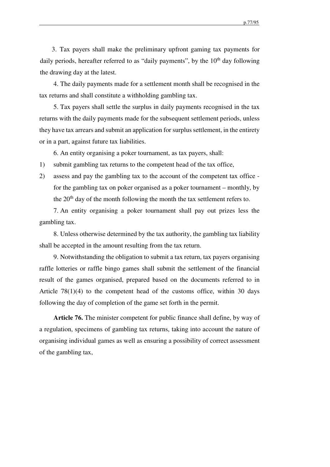3. Tax payers shall make the preliminary upfront gaming tax payments for daily periods, hereafter referred to as "daily payments", by the  $10<sup>th</sup>$  day following the drawing day at the latest.

4. The daily payments made for a settlement month shall be recognised in the tax returns and shall constitute a withholding gambling tax.

5. Tax payers shall settle the surplus in daily payments recognised in the tax returns with the daily payments made for the subsequent settlement periods, unless they have tax arrears and submit an application for surplus settlement, in the entirety or in a part, against future tax liabilities.

6. An entity organising a poker tournament, as tax payers, shall:

- 1) submit gambling tax returns to the competent head of the tax office,
- 2) assess and pay the gambling tax to the account of the competent tax office for the gambling tax on poker organised as a poker tournament – monthly, by the  $20<sup>th</sup>$  day of the month following the month the tax settlement refers to.

7. An entity organising a poker tournament shall pay out prizes less the gambling tax.

8. Unless otherwise determined by the tax authority, the gambling tax liability shall be accepted in the amount resulting from the tax return.

9. Notwithstanding the obligation to submit a tax return, tax payers organising raffle lotteries or raffle bingo games shall submit the settlement of the financial result of the games organised, prepared based on the documents referred to in Article  $78(1)(4)$  to the competent head of the customs office, within 30 days following the day of completion of the game set forth in the permit.

**Article 76.** The minister competent for public finance shall define, by way of a regulation, specimens of gambling tax returns, taking into account the nature of organising individual games as well as ensuring a possibility of correct assessment of the gambling tax,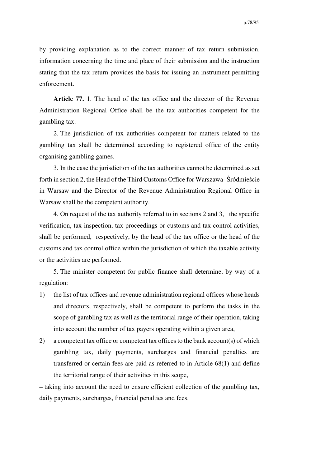by providing explanation as to the correct manner of tax return submission, information concerning the time and place of their submission and the instruction stating that the tax return provides the basis for issuing an instrument permitting enforcement.

**Article 77.** 1. The head of the tax office and the director of the Revenue Administration Regional Office shall be the tax authorities competent for the gambling tax.

2. The jurisdiction of tax authorities competent for matters related to the gambling tax shall be determined according to registered office of the entity organising gambling games.

3. In the case the jurisdiction of the tax authorities cannot be determined as set forth in section 2, the Head of the Third Customs Office for Warszawa- Śródmieście in Warsaw and the Director of the Revenue Administration Regional Office in Warsaw shall be the competent authority.

4. On request of the tax authority referred to in sections 2 and 3, the specific verification, tax inspection, tax proceedings or customs and tax control activities, shall be performed, respectively, by the head of the tax office or the head of the customs and tax control office within the jurisdiction of which the taxable activity or the activities are performed.

5. The minister competent for public finance shall determine, by way of a regulation:

- 1) the list of tax offices and revenue administration regional offices whose heads and directors, respectively, shall be competent to perform the tasks in the scope of gambling tax as well as the territorial range of their operation, taking into account the number of tax payers operating within a given area,
- 2) a competent tax office or competent tax offices to the bank account(s) of which gambling tax, daily payments, surcharges and financial penalties are transferred or certain fees are paid as referred to in Article 68(1) and define the territorial range of their activities in this scope,

– taking into account the need to ensure efficient collection of the gambling tax, daily payments, surcharges, financial penalties and fees.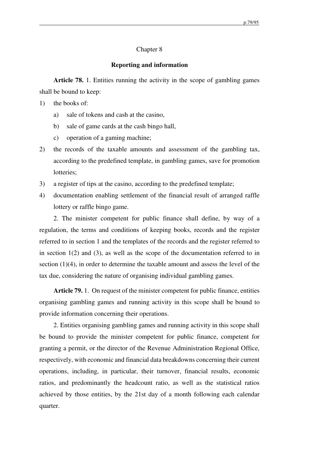### Chapter 8

## **Reporting and information**

**Article 78.** 1. Entities running the activity in the scope of gambling games shall be bound to keep:

- 1) the books of:
	- a) sale of tokens and cash at the casino,
	- b) sale of game cards at the cash bingo hall,
	- c) operation of a gaming machine;
- 2) the records of the taxable amounts and assessment of the gambling tax, according to the predefined template, in gambling games, save for promotion lotteries;
- 3) a register of tips at the casino, according to the predefined template;
- 4) documentation enabling settlement of the financial result of arranged raffle lottery or raffle bingo game.

2. The minister competent for public finance shall define, by way of a regulation, the terms and conditions of keeping books, records and the register referred to in section 1 and the templates of the records and the register referred to in section 1(2) and (3), as well as the scope of the documentation referred to in section  $(1)(4)$ , in order to determine the taxable amount and assess the level of the tax due, considering the nature of organising individual gambling games.

**Article 79.** 1. On request of the minister competent for public finance, entities organising gambling games and running activity in this scope shall be bound to provide information concerning their operations.

2. Entities organising gambling games and running activity in this scope shall be bound to provide the minister competent for public finance, competent for granting a permit, or the director of the Revenue Administration Regional Office, respectively, with economic and financial data breakdowns concerning their current operations, including, in particular, their turnover, financial results, economic ratios, and predominantly the headcount ratio, as well as the statistical ratios achieved by those entities, by the 21st day of a month following each calendar quarter.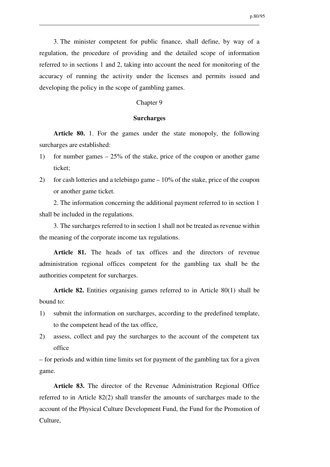3. The minister competent for public finance, shall define, by way of a regulation, the procedure of providing and the detailed scope of information referred to in sections 1 and 2, taking into account the need for monitoring of the accuracy of running the activity under the licenses and permits issued and developing the policy in the scope of gambling games.

### Chapter 9

## **Surcharges**

**Article 80.** 1. For the games under the state monopoly, the following surcharges are established:

- 1) for number games 25% of the stake, price of the coupon or another game ticket;
- 2) for cash lotteries and a telebingo game 10% of the stake, price of the coupon or another game ticket.

2. The information concerning the additional payment referred to in section 1 shall be included in the regulations.

3. The surcharges referred to in section 1 shall not be treated as revenue within the meaning of the corporate income tax regulations.

Article 81. The heads of tax offices and the directors of revenue administration regional offices competent for the gambling tax shall be the authorities competent for surcharges.

**Article 82.** Entities organising games referred to in Article 80(1) shall be bound to:

- 1) submit the information on surcharges, according to the predefined template, to the competent head of the tax office,
- 2) assess, collect and pay the surcharges to the account of the competent tax office

– for periods and within time limits set for payment of the gambling tax for a given game.

**Article 83.** The director of the Revenue Administration Regional Office referred to in Article 82(2) shall transfer the amounts of surcharges made to the account of the Physical Culture Development Fund, the Fund for the Promotion of Culture,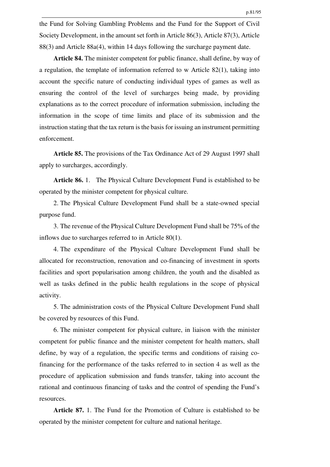the Fund for Solving Gambling Problems and the Fund for the Support of Civil Society Development, in the amount set forth in Article 86(3), Article 87(3), Article 88(3) and Article 88a(4), within 14 days following the surcharge payment date.

**Article 84.** The minister competent for public finance, shall define, by way of a regulation, the template of information referred to w Article 82(1), taking into account the specific nature of conducting individual types of games as well as ensuring the control of the level of surcharges being made, by providing explanations as to the correct procedure of information submission, including the information in the scope of time limits and place of its submission and the instruction stating that the tax return is the basis for issuing an instrument permitting enforcement.

**Article 85.** The provisions of the Tax Ordinance Act of 29 August 1997 shall apply to surcharges, accordingly.

**Article 86.** 1. The Physical Culture Development Fund is established to be operated by the minister competent for physical culture.

2. The Physical Culture Development Fund shall be a state-owned special purpose fund.

3. The revenue of the Physical Culture Development Fund shall be 75% of the inflows due to surcharges referred to in Article 80(1).

4. The expenditure of the Physical Culture Development Fund shall be allocated for reconstruction, renovation and co-financing of investment in sports facilities and sport popularisation among children, the youth and the disabled as well as tasks defined in the public health regulations in the scope of physical activity.

5. The administration costs of the Physical Culture Development Fund shall be covered by resources of this Fund.

6. The minister competent for physical culture, in liaison with the minister competent for public finance and the minister competent for health matters, shall define, by way of a regulation, the specific terms and conditions of raising cofinancing for the performance of the tasks referred to in section 4 as well as the procedure of application submission and funds transfer, taking into account the rational and continuous financing of tasks and the control of spending the Fund's resources.

**Article 87.** 1. The Fund for the Promotion of Culture is established to be operated by the minister competent for culture and national heritage.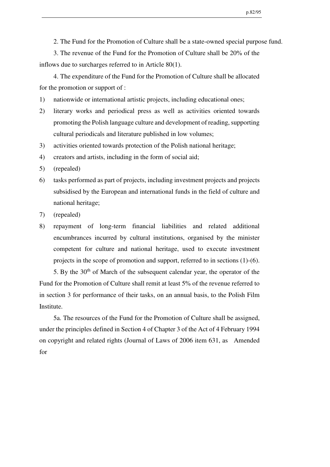2. The Fund for the Promotion of Culture shall be a state-owned special purpose fund.

3. The revenue of the Fund for the Promotion of Culture shall be 20% of the inflows due to surcharges referred to in Article 80(1).

4. The expenditure of the Fund for the Promotion of Culture shall be allocated for the promotion or support of :

- 1) nationwide or international artistic projects, including educational ones;
- 2) literary works and periodical press as well as activities oriented towards promoting the Polish language culture and development of reading, supporting cultural periodicals and literature published in low volumes;
- 3) activities oriented towards protection of the Polish national heritage;
- 4) creators and artists, including in the form of social aid;
- 5) (repealed)
- 6) tasks performed as part of projects, including investment projects and projects subsidised by the European and international funds in the field of culture and national heritage;
- 7) (repealed)
- 8) repayment of long-term financial liabilities and related additional encumbrances incurred by cultural institutions, organised by the minister competent for culture and national heritage, used to execute investment projects in the scope of promotion and support, referred to in sections (1)-(6).

5. By the  $30<sup>th</sup>$  of March of the subsequent calendar year, the operator of the Fund for the Promotion of Culture shall remit at least 5% of the revenue referred to in section 3 for performance of their tasks, on an annual basis, to the Polish Film Institute.

5a. The resources of the Fund for the Promotion of Culture shall be assigned, under the principles defined in Section 4 of Chapter 3 of the Act of 4 February 1994 on copyright and related rights (Journal of Laws of 2006 item 631, as Amended for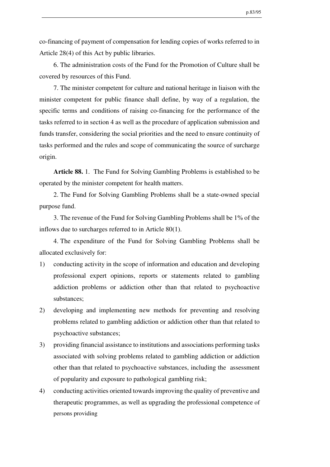co-financing of payment of compensation for lending copies of works referred to in Article 28(4) of this Act by public libraries.

6. The administration costs of the Fund for the Promotion of Culture shall be covered by resources of this Fund.

7. The minister competent for culture and national heritage in liaison with the minister competent for public finance shall define, by way of a regulation, the specific terms and conditions of raising co-financing for the performance of the tasks referred to in section 4 as well as the procedure of application submission and funds transfer, considering the social priorities and the need to ensure continuity of tasks performed and the rules and scope of communicating the source of surcharge origin.

**Article 88.** 1. The Fund for Solving Gambling Problems is established to be operated by the minister competent for health matters.

2. The Fund for Solving Gambling Problems shall be a state-owned special purpose fund.

3. The revenue of the Fund for Solving Gambling Problems shall be 1% of the inflows due to surcharges referred to in Article 80(1).

4. The expenditure of the Fund for Solving Gambling Problems shall be allocated exclusively for:

- 1) conducting activity in the scope of information and education and developing professional expert opinions, reports or statements related to gambling addiction problems or addiction other than that related to psychoactive substances;
- 2) developing and implementing new methods for preventing and resolving problems related to gambling addiction or addiction other than that related to psychoactive substances;
- 3) providing financial assistance to institutions and associations performing tasks associated with solving problems related to gambling addiction or addiction other than that related to psychoactive substances, including the assessment of popularity and exposure to pathological gambling risk;
- 4) conducting activities oriented towards improving the quality of preventive and therapeutic programmes, as well as upgrading the professional competence of persons providing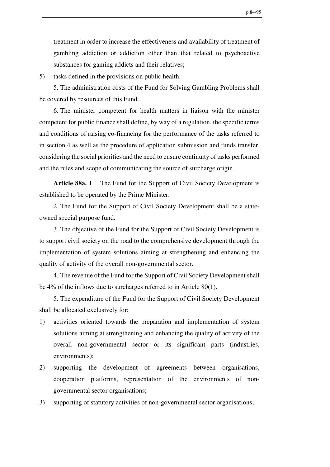treatment in order to increase the effectiveness and availability of treatment of gambling addiction or addiction other than that related to psychoactive substances for gaming addicts and their relatives;

5) tasks defined in the provisions on public health.

5. The administration costs of the Fund for Solving Gambling Problems shall be covered by resources of this Fund.

6. The minister competent for health matters in liaison with the minister competent for public finance shall define, by way of a regulation, the specific terms and conditions of raising co-financing for the performance of the tasks referred to in section 4 as well as the procedure of application submission and funds transfer, considering the social priorities and the need to ensure continuity of tasks performed and the rules and scope of communicating the source of surcharge origin.

**Article 88a.** 1. The Fund for the Support of Civil Society Development is established to be operated by the Prime Minister.

2. The Fund for the Support of Civil Society Development shall be a stateowned special purpose fund.

3. The objective of the Fund for the Support of Civil Society Development is to support civil society on the road to the comprehensive development through the implementation of system solutions aiming at strengthening and enhancing the quality of activity of the overall non-governmental sector.

4. The revenue of the Fund for the Support of Civil Society Development shall be 4% of the inflows due to surcharges referred to in Article 80(1).

5. The expenditure of the Fund for the Support of Civil Society Development shall be allocated exclusively for:

- 1) activities oriented towards the preparation and implementation of system solutions aiming at strengthening and enhancing the quality of activity of the overall non-governmental sector or its significant parts (industries, environments);
- 2) supporting the development of agreements between organisations, cooperation platforms, representation of the environments of nongovernmental sector organisations;
- 3) supporting of statutory activities of non-governmental sector organisations;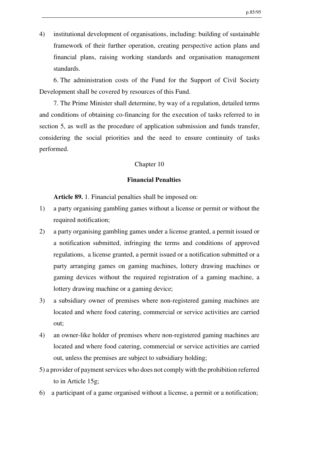4) institutional development of organisations, including: building of sustainable framework of their further operation, creating perspective action plans and financial plans, raising working standards and organisation management standards.

6. The administration costs of the Fund for the Support of Civil Society Development shall be covered by resources of this Fund.

7. The Prime Minister shall determine, by way of a regulation, detailed terms and conditions of obtaining co-financing for the execution of tasks referred to in section 5, as well as the procedure of application submission and funds transfer, considering the social priorities and the need to ensure continuity of tasks performed.

## Chapter 10

## **Financial Penalties**

**Article 89.** 1. Financial penalties shall be imposed on:

- 1) a party organising gambling games without a license or permit or without the required notification;
- 2) a party organising gambling games under a license granted, a permit issued or a notification submitted, infringing the terms and conditions of approved regulations, a license granted, a permit issued or a notification submitted or a party arranging games on gaming machines, lottery drawing machines or gaming devices without the required registration of a gaming machine, a lottery drawing machine or a gaming device;
- 3) a subsidiary owner of premises where non-registered gaming machines are located and where food catering, commercial or service activities are carried out;
- 4) an owner-like holder of premises where non-registered gaming machines are located and where food catering, commercial or service activities are carried out, unless the premises are subject to subsidiary holding;
- 5) a provider of payment services who does not comply with the prohibition referred to in Article 15g;
- 6) a participant of a game organised without a license, a permit or a notification;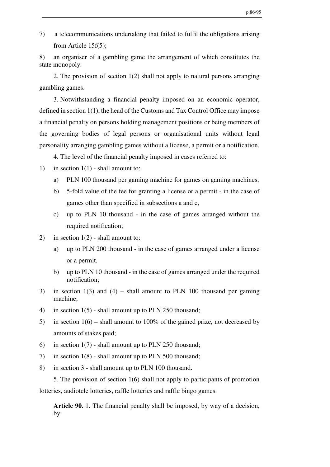7) a telecommunications undertaking that failed to fulfil the obligations arising from Article 15f(5);

8) an organiser of a gambling game the arrangement of which constitutes the state monopoly.

2. The provision of section 1(2) shall not apply to natural persons arranging gambling games.

3. Notwithstanding a financial penalty imposed on an economic operator, defined in section 1(1), the head of the Customs and Tax Control Office may impose a financial penalty on persons holding management positions or being members of the governing bodies of legal persons or organisational units without legal personality arranging gambling games without a license, a permit or a notification.

4. The level of the financial penalty imposed in cases referred to:

- 1) in section  $1(1)$  shall amount to:
	- a) PLN 100 thousand per gaming machine for games on gaming machines,
	- b) 5-fold value of the fee for granting a license or a permit in the case of games other than specified in subsections a and c,
	- c) up to PLN 10 thousand in the case of games arranged without the required notification;
- 2) in section  $1(2)$  shall amount to:
	- a) up to PLN 200 thousand in the case of games arranged under a license or a permit,
	- b) up to PLN 10 thousand in the case of games arranged under the required notification;
- 3) in section 1(3) and (4) shall amount to PLN 100 thousand per gaming machine;
- 4) in section 1(5) shall amount up to PLN 250 thousand;
- 5) in section 1(6) shall amount to 100% of the gained prize, not decreased by amounts of stakes paid;
- 6) in section  $1(7)$  shall amount up to PLN 250 thousand;
- 7) in section 1(8) shall amount up to PLN 500 thousand;
- 8) in section 3 shall amount up to PLN 100 thousand.

5. The provision of section 1(6) shall not apply to participants of promotion lotteries, audiotele lotteries, raffle lotteries and raffle bingo games.

**Article 90.** 1. The financial penalty shall be imposed, by way of a decision, by: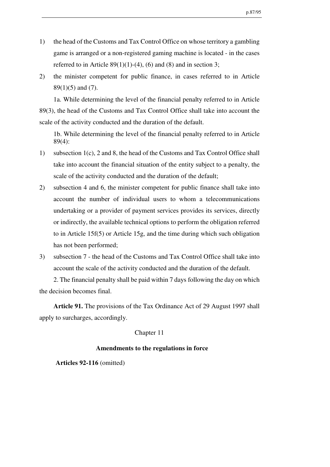- 1) the head of the Customs and Tax Control Office on whose territory a gambling game is arranged or a non-registered gaming machine is located - in the cases referred to in Article  $89(1)(1)-(4)$ , (6) and (8) and in section 3;
- 2) the minister competent for public finance, in cases referred to in Article 89(1)(5) and (7).

1a. While determining the level of the financial penalty referred to in Article 89(3), the head of the Customs and Tax Control Office shall take into account the scale of the activity conducted and the duration of the default.

1b. While determining the level of the financial penalty referred to in Article 89(4):

- 1) subsection 1(c), 2 and 8, the head of the Customs and Tax Control Office shall take into account the financial situation of the entity subject to a penalty, the scale of the activity conducted and the duration of the default;
- 2) subsection 4 and 6, the minister competent for public finance shall take into account the number of individual users to whom a telecommunications undertaking or a provider of payment services provides its services, directly or indirectly, the available technical options to perform the obligation referred to in Article 15f(5) or Article 15g, and the time during which such obligation has not been performed;
- 3) subsection 7 the head of the Customs and Tax Control Office shall take into account the scale of the activity conducted and the duration of the default.

2. The financial penalty shall be paid within 7 days following the day on which the decision becomes final.

**Article 91.** The provisions of the Tax Ordinance Act of 29 August 1997 shall apply to surcharges, accordingly.

## Chapter 11

# **Amendments to the regulations in force**

**Articles 92-116** (omitted)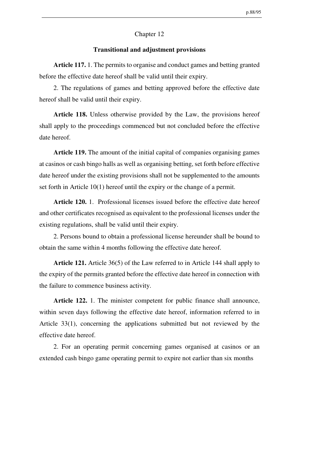### Chapter 12

### **Transitional and adjustment provisions**

**Article 117.** 1. The permits to organise and conduct games and betting granted before the effective date hereof shall be valid until their expiry.

2. The regulations of games and betting approved before the effective date hereof shall be valid until their expiry.

**Article 118.** Unless otherwise provided by the Law, the provisions hereof shall apply to the proceedings commenced but not concluded before the effective date hereof.

**Article 119.** The amount of the initial capital of companies organising games at casinos or cash bingo halls as well as organising betting, set forth before effective date hereof under the existing provisions shall not be supplemented to the amounts set forth in Article 10(1) hereof until the expiry or the change of a permit.

**Article 120.** 1. Professional licenses issued before the effective date hereof and other certificates recognised as equivalent to the professional licenses under the existing regulations, shall be valid until their expiry.

2. Persons bound to obtain a professional license hereunder shall be bound to obtain the same within 4 months following the effective date hereof.

**Article 121.** Article 36(5) of the Law referred to in Article 144 shall apply to the expiry of the permits granted before the effective date hereof in connection with the failure to commence business activity.

**Article 122.** 1. The minister competent for public finance shall announce, within seven days following the effective date hereof, information referred to in Article 33(1), concerning the applications submitted but not reviewed by the effective date hereof.

2. For an operating permit concerning games organised at casinos or an extended cash bingo game operating permit to expire not earlier than six months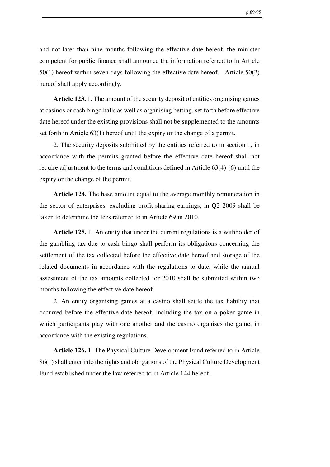and not later than nine months following the effective date hereof, the minister competent for public finance shall announce the information referred to in Article 50(1) hereof within seven days following the effective date hereof. Article 50(2) hereof shall apply accordingly.

**Article 123.** 1. The amount of the security deposit of entities organising games at casinos or cash bingo halls as well as organising betting, set forth before effective date hereof under the existing provisions shall not be supplemented to the amounts set forth in Article 63(1) hereof until the expiry or the change of a permit.

2. The security deposits submitted by the entities referred to in section 1, in accordance with the permits granted before the effective date hereof shall not require adjustment to the terms and conditions defined in Article 63(4)-(6) until the expiry or the change of the permit.

**Article 124.** The base amount equal to the average monthly remuneration in the sector of enterprises, excluding profit-sharing earnings, in Q2 2009 shall be taken to determine the fees referred to in Article 69 in 2010.

**Article 125.** 1. An entity that under the current regulations is a withholder of the gambling tax due to cash bingo shall perform its obligations concerning the settlement of the tax collected before the effective date hereof and storage of the related documents in accordance with the regulations to date, while the annual assessment of the tax amounts collected for 2010 shall be submitted within two months following the effective date hereof.

2. An entity organising games at a casino shall settle the tax liability that occurred before the effective date hereof, including the tax on a poker game in which participants play with one another and the casino organises the game, in accordance with the existing regulations.

**Article 126.** 1. The Physical Culture Development Fund referred to in Article 86(1) shall enter into the rights and obligations of the Physical Culture Development Fund established under the law referred to in Article 144 hereof.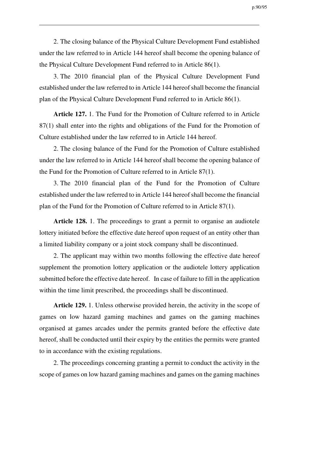p.90/95

2. The closing balance of the Physical Culture Development Fund established under the law referred to in Article 144 hereof shall become the opening balance of the Physical Culture Development Fund referred to in Article 86(1).

3. The 2010 financial plan of the Physical Culture Development Fund established under the law referred to in Article 144 hereof shall become the financial plan of the Physical Culture Development Fund referred to in Article 86(1).

**Article 127.** 1. The Fund for the Promotion of Culture referred to in Article 87(1) shall enter into the rights and obligations of the Fund for the Promotion of Culture established under the law referred to in Article 144 hereof.

2. The closing balance of the Fund for the Promotion of Culture established under the law referred to in Article 144 hereof shall become the opening balance of the Fund for the Promotion of Culture referred to in Article 87(1).

3. The 2010 financial plan of the Fund for the Promotion of Culture established under the law referred to in Article 144 hereof shall become the financial plan of the Fund for the Promotion of Culture referred to in Article 87(1).

**Article 128.** 1. The proceedings to grant a permit to organise an audiotele lottery initiated before the effective date hereof upon request of an entity other than a limited liability company or a joint stock company shall be discontinued.

2. The applicant may within two months following the effective date hereof supplement the promotion lottery application or the audiotele lottery application submitted before the effective date hereof. In case of failure to fill in the application within the time limit prescribed, the proceedings shall be discontinued.

**Article 129.** 1. Unless otherwise provided herein, the activity in the scope of games on low hazard gaming machines and games on the gaming machines organised at games arcades under the permits granted before the effective date hereof, shall be conducted until their expiry by the entities the permits were granted to in accordance with the existing regulations.

2. The proceedings concerning granting a permit to conduct the activity in the scope of games on low hazard gaming machines and games on the gaming machines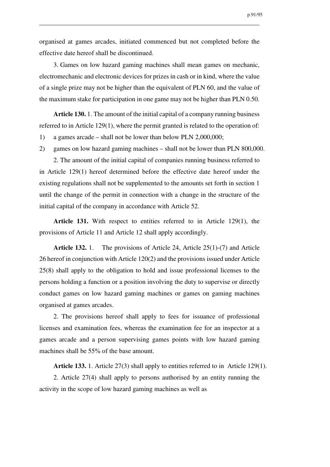organised at games arcades, initiated commenced but not completed before the effective date hereof shall be discontinued.

3. Games on low hazard gaming machines shall mean games on mechanic, electromechanic and electronic devices for prizes in cash or in kind, where the value of a single prize may not be higher than the equivalent of PLN 60, and the value of the maximum stake for participation in one game may not be higher than PLN 0.50.

**Article 130.** 1. The amount of the initial capital of a company running business referred to in Article 129(1), where the permit granted is related to the operation of:

- 1) a games arcade shall not be lower than below PLN 2,000,000;
- 2) games on low hazard gaming machines shall not be lower than PLN 800,000.

2. The amount of the initial capital of companies running business referred to in Article 129(1) hereof determined before the effective date hereof under the existing regulations shall not be supplemented to the amounts set forth in section 1 until the change of the permit in connection with a change in the structure of the initial capital of the company in accordance with Article 52.

**Article 131.** With respect to entities referred to in Article 129(1), the provisions of Article 11 and Article 12 shall apply accordingly.

**Article 132.** 1. The provisions of Article 24, Article 25(1)-(7) and Article 26 hereof in conjunction with Article 120(2) and the provisions issued under Article 25(8) shall apply to the obligation to hold and issue professional licenses to the persons holding a function or a position involving the duty to supervise or directly conduct games on low hazard gaming machines or games on gaming machines organised at games arcades.

2. The provisions hereof shall apply to fees for issuance of professional licenses and examination fees, whereas the examination fee for an inspector at a games arcade and a person supervising games points with low hazard gaming machines shall be 55% of the base amount.

**Article 133.** 1. Article 27(3) shall apply to entities referred to in Article 129(1).

2. Article 27(4) shall apply to persons authorised by an entity running the activity in the scope of low hazard gaming machines as well as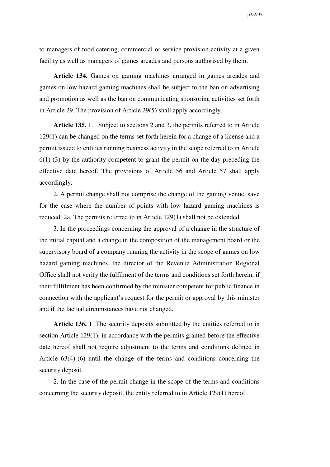to managers of food catering, commercial or service provision activity at a given facility as well as managers of games arcades and persons authorised by them.

**Article 134.** Games on gaming machines arranged in games arcades and games on low hazard gaming machines shall be subject to the ban on advertising and promotion as well as the ban on communicating sponsoring activities set forth in Article 29. The provision of Article 29(5) shall apply accordingly.

**Article 135.** 1. Subject to sections 2 and 3, the permits referred to in Article 129(1) can be changed on the terms set forth herein for a change of a license and a permit issued to entities running business activity in the scope referred to in Article 6(1)-(3) by the authority competent to grant the permit on the day preceding the effective date hereof. The provisions of Article 56 and Article 57 shall apply accordingly.

2. A permit change shall not comprise the change of the gaming venue, save for the case where the number of points with low hazard gaming machines is reduced. 2a. The permits referred to in Article 129(1) shall not be extended.

3. In the proceedings concerning the approval of a change in the structure of the initial capital and a change in the composition of the management board or the supervisory board of a company running the activity in the scope of games on low hazard gaming machines, the director of the Revenue Administration Regional Office shall not verify the fulfilment of the terms and conditions set forth herein, if their fulfilment has been confirmed by the minister competent for public finance in connection with the applicant's request for the permit or approval by this minister and if the factual circumstances have not changed.

**Article 136.** 1. The security deposits submitted by the entities referred to in section Article 129(1), in accordance with the permits granted before the effective date hereof shall not require adjustment to the terms and conditions defined in Article 63(4)-(6) until the change of the terms and conditions concerning the security deposit.

2. In the case of the permit change in the scope of the terms and conditions concerning the security deposit, the entity referred to in Article 129(1) hereof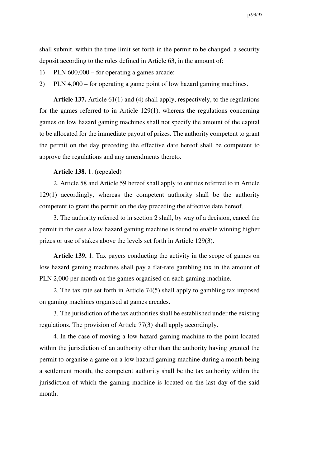shall submit, within the time limit set forth in the permit to be changed, a security deposit according to the rules defined in Article 63, in the amount of:

- 1) PLN 600,000 for operating a games arcade;
- 2) PLN 4,000 for operating a game point of low hazard gaming machines.

**Article 137.** Article 61(1) and (4) shall apply, respectively, to the regulations for the games referred to in Article 129(1), whereas the regulations concerning games on low hazard gaming machines shall not specify the amount of the capital to be allocated for the immediate payout of prizes. The authority competent to grant the permit on the day preceding the effective date hereof shall be competent to approve the regulations and any amendments thereto.

### **Article 138.** 1. (repealed)

2. Article 58 and Article 59 hereof shall apply to entities referred to in Article 129(1) accordingly, whereas the competent authority shall be the authority competent to grant the permit on the day preceding the effective date hereof.

3. The authority referred to in section 2 shall, by way of a decision, cancel the permit in the case a low hazard gaming machine is found to enable winning higher prizes or use of stakes above the levels set forth in Article 129(3).

**Article 139.** 1. Tax payers conducting the activity in the scope of games on low hazard gaming machines shall pay a flat-rate gambling tax in the amount of PLN 2,000 per month on the games organised on each gaming machine.

2. The tax rate set forth in Article 74(5) shall apply to gambling tax imposed on gaming machines organised at games arcades.

3. The jurisdiction of the tax authorities shall be established under the existing regulations. The provision of Article 77(3) shall apply accordingly.

4. In the case of moving a low hazard gaming machine to the point located within the jurisdiction of an authority other than the authority having granted the permit to organise a game on a low hazard gaming machine during a month being a settlement month, the competent authority shall be the tax authority within the jurisdiction of which the gaming machine is located on the last day of the said month.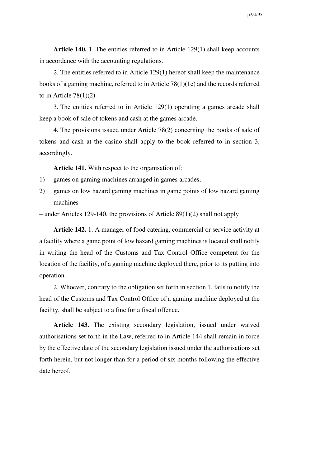**Article 140.** 1. The entities referred to in Article 129(1) shall keep accounts in accordance with the accounting regulations.

2. The entities referred to in Article 129(1) hereof shall keep the maintenance books of a gaming machine, referred to in Article 78(1)(1c) and the records referred to in Article  $78(1)(2)$ .

3. The entities referred to in Article 129(1) operating a games arcade shall keep a book of sale of tokens and cash at the games arcade.

4. The provisions issued under Article 78(2) concerning the books of sale of tokens and cash at the casino shall apply to the book referred to in section 3, accordingly.

**Article 141.** With respect to the organisation of:

- 1) games on gaming machines arranged in games arcades,
- 2) games on low hazard gaming machines in game points of low hazard gaming machines

– under Articles 129-140, the provisions of Article 89(1)(2) shall not apply

**Article 142.** 1. A manager of food catering, commercial or service activity at a facility where a game point of low hazard gaming machines is located shall notify in writing the head of the Customs and Tax Control Office competent for the location of the facility, of a gaming machine deployed there, prior to its putting into operation.

2. Whoever, contrary to the obligation set forth in section 1, fails to notify the head of the Customs and Tax Control Office of a gaming machine deployed at the facility, shall be subject to a fine for a fiscal offence.

**Article 143.** The existing secondary legislation, issued under waived authorisations set forth in the Law, referred to in Article 144 shall remain in force by the effective date of the secondary legislation issued under the authorisations set forth herein, but not longer than for a period of six months following the effective date hereof.